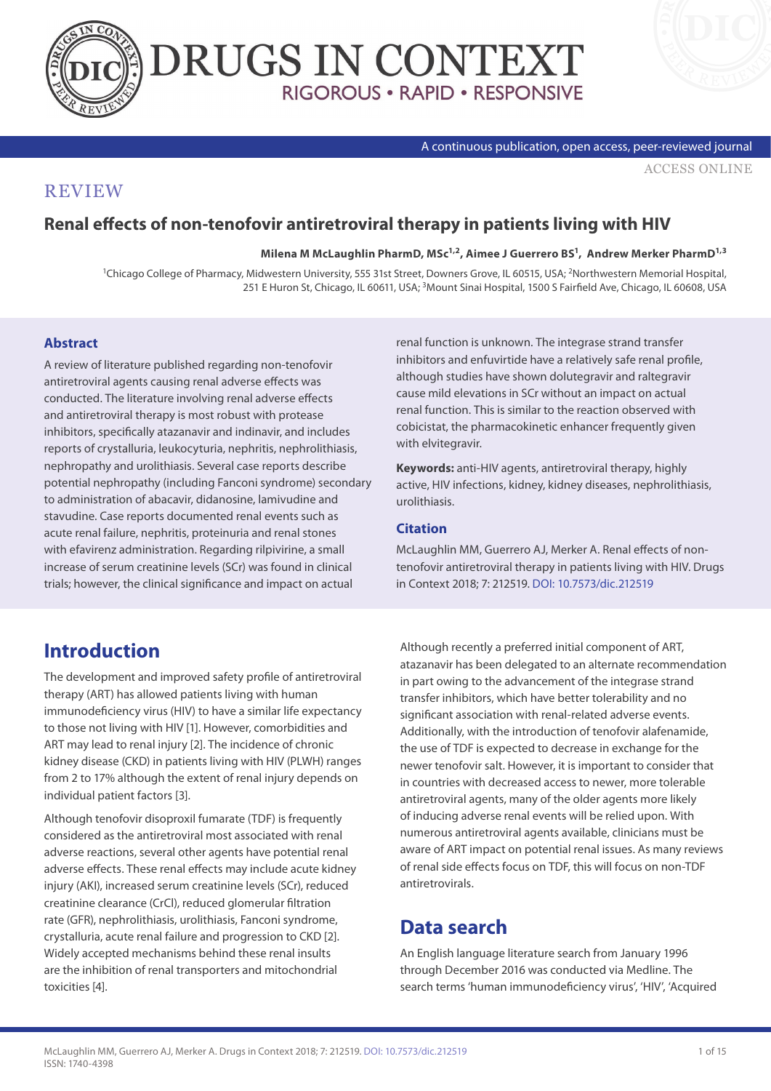



#### A continuous publication, open access, peer-reviewed journal

[ACCESS ONLINE](http://www.drugsincontext.com/renal-effects-of-non-tenofovir-antiretroviral-therapy-in-patients-living-with-hiv)

### **REVIEW**

### **Renal effects of non-tenofovir antiretroviral therapy in patients living with HIV**

Milena M McLaughlin PharmD, MSc<sup>1,2</sup>, Aimee J Guerrero BS<sup>1</sup>, Andrew Merker PharmD<sup>1,3</sup>

1Chicago College of Pharmacy, Midwestern University, 555 31st Street, Downers Grove, IL 60515, USA; 2Northwestern Memorial Hospital, 251 E Huron St, Chicago, IL 60611, USA; 3Mount Sinai Hospital, 1500 S Fairfield Ave, Chicago, IL 60608, USA

#### **Abstract**

A review of literature published regarding non-tenofovir antiretroviral agents causing renal adverse effects was conducted. The literature involving renal adverse effects and antiretroviral therapy is most robust with protease inhibitors, specifically atazanavir and indinavir, and includes reports of crystalluria, leukocyturia, nephritis, nephrolithiasis, nephropathy and urolithiasis. Several case reports describe potential nephropathy (including Fanconi syndrome) secondary to administration of abacavir, didanosine, lamivudine and stavudine. Case reports documented renal events such as acute renal failure, nephritis, proteinuria and renal stones with efavirenz administration. Regarding rilpivirine, a small increase of serum creatinine levels (SCr) was found in clinical trials; however, the clinical significance and impact on actual

renal function is unknown. The integrase strand transfer inhibitors and enfuvirtide have a relatively safe renal profile, although studies have shown dolutegravir and raltegravir cause mild elevations in SCr without an impact on actual renal function. This is similar to the reaction observed with cobicistat, the pharmacokinetic enhancer frequently given with elvitegravir.

**Keywords:** anti-HIV agents, antiretroviral therapy, highly active, HIV infections, kidney, kidney diseases, nephrolithiasis, urolithiasis.

#### **Citation**

McLaughlin MM, Guerrero AJ, Merker A. Renal effects of nontenofovir antiretroviral therapy in patients living with HIV. Drugs in Context 2018; 7: 212519. [DOI: 10.7573/dic.212519](https://doi.org/10.7573/dic.212519)

# **Introduction**

The development and improved safety profile of antiretroviral therapy (ART) has allowed patients living with human immunodeficiency virus (HIV) to have a similar life expectancy to those not living with HIV [1]. However, comorbidities and ART may lead to renal injury [2]. The incidence of chronic kidney disease (CKD) in patients living with HIV (PLWH) ranges from 2 to 17% although the extent of renal injury depends on individual patient factors [3].

Although tenofovir disoproxil fumarate (TDF) is frequently considered as the antiretroviral most associated with renal adverse reactions, several other agents have potential renal adverse effects. These renal effects may include acute kidney injury (AKI), increased serum creatinine levels (SCr), reduced creatinine clearance (CrCl), reduced glomerular filtration rate (GFR), nephrolithiasis, urolithiasis, Fanconi syndrome, crystalluria, acute renal failure and progression to CKD [2]. Widely accepted mechanisms behind these renal insults are the inhibition of renal transporters and mitochondrial toxicities [4].

Although recently a preferred initial component of ART, atazanavir has been delegated to an alternate recommendation in part owing to the advancement of the integrase strand transfer inhibitors, which have better tolerability and no significant association with renal-related adverse events. Additionally, with the introduction of tenofovir alafenamide, the use of TDF is expected to decrease in exchange for the newer tenofovir salt. However, it is important to consider that in countries with decreased access to newer, more tolerable antiretroviral agents, many of the older agents more likely of inducing adverse renal events will be relied upon. With numerous antiretroviral agents available, clinicians must be aware of ART impact on potential renal issues. As many reviews of renal side effects focus on TDF, this will focus on non-TDF antiretrovirals.

# **Data search**

An English language literature search from January 1996 through December 2016 was conducted via Medline. The search terms 'human immunodeficiency virus', 'HIV', 'Acquired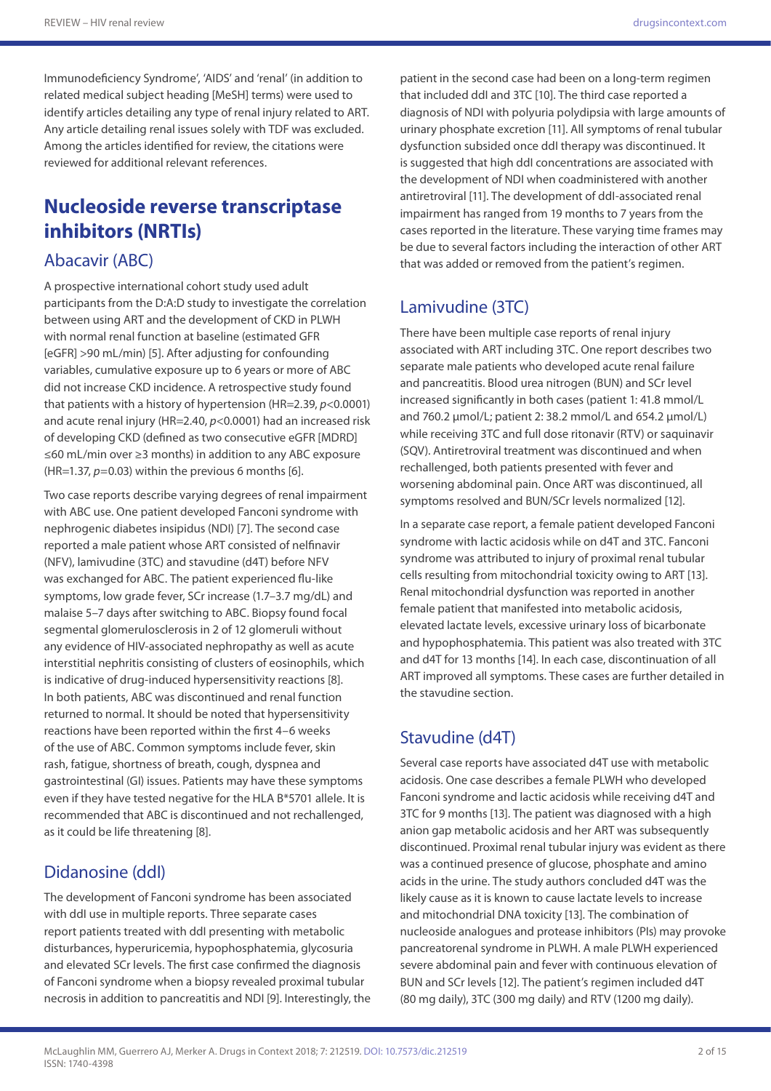Immunodeficiency Syndrome', 'AIDS' and 'renal' (in addition to related medical subject heading [MeSH] terms) were used to identify articles detailing any type of renal injury related to ART. Any article detailing renal issues solely with TDF was excluded. Among the articles identified for review, the citations were reviewed for additional relevant references.

# **Nucleoside reverse transcriptase inhibitors (NRTIs)**

### Abacavir (ABC)

A prospective international cohort study used adult participants from the D:A:D study to investigate the correlation between using ART and the development of CKD in PLWH with normal renal function at baseline (estimated GFR [eGFR] >90 mL/min) [5]. After adjusting for confounding variables, cumulative exposure up to 6 years or more of ABC did not increase CKD incidence. A retrospective study found that patients with a history of hypertension (HR=2.39, *p*<0.0001) and acute renal injury (HR=2.40, *p*<0.0001) had an increased risk of developing CKD (defined as two consecutive eGFR [MDRD] ≤60 mL/min over ≥3 months) in addition to any ABC exposure (HR=1.37, *p*=0.03) within the previous 6 months [6].

Two case reports describe varying degrees of renal impairment with ABC use. One patient developed Fanconi syndrome with nephrogenic diabetes insipidus (NDI) [7]. The second case reported a male patient whose ART consisted of nelfinavir (NFV), lamivudine (3TC) and stavudine (d4T) before NFV was exchanged for ABC. The patient experienced flu-like symptoms, low grade fever, SCr increase (1.7–3.7 mg/dL) and malaise 5–7 days after switching to ABC. Biopsy found focal segmental glomerulosclerosis in 2 of 12 glomeruli without any evidence of HIV-associated nephropathy as well as acute interstitial nephritis consisting of clusters of eosinophils, which is indicative of drug-induced hypersensitivity reactions [8]. In both patients, ABC was discontinued and renal function returned to normal. It should be noted that hypersensitivity reactions have been reported within the first 4–6 weeks of the use of ABC. Common symptoms include fever, skin rash, fatigue, shortness of breath, cough, dyspnea and gastrointestinal (GI) issues. Patients may have these symptoms even if they have tested negative for the HLA B\*5701 allele. It is recommended that ABC is discontinued and not rechallenged, as it could be life threatening [8].

### Didanosine (ddI)

The development of Fanconi syndrome has been associated with ddI use in multiple reports. Three separate cases report patients treated with ddI presenting with metabolic disturbances, hyperuricemia, hypophosphatemia, glycosuria and elevated SCr levels. The first case confirmed the diagnosis of Fanconi syndrome when a biopsy revealed proximal tubular necrosis in addition to pancreatitis and NDI [9]. Interestingly, the

patient in the second case had been on a long-term regimen that included ddI and 3TC [10]. The third case reported a diagnosis of NDI with polyuria polydipsia with large amounts of urinary phosphate excretion [11]. All symptoms of renal tubular dysfunction subsided once ddI therapy was discontinued. It is suggested that high ddI concentrations are associated with the development of NDI when coadministered with another antiretroviral [11]. The development of ddI-associated renal impairment has ranged from 19 months to 7 years from the cases reported in the literature. These varying time frames may be due to several factors including the interaction of other ART that was added or removed from the patient's regimen.

### Lamivudine (3TC)

There have been multiple case reports of renal injury associated with ART including 3TC. One report describes two separate male patients who developed acute renal failure and pancreatitis. Blood urea nitrogen (BUN) and SCr level increased significantly in both cases (patient 1: 41.8 mmol/L and 760.2 μmol/L; patient 2: 38.2 mmol/L and 654.2 μmol/L) while receiving 3TC and full dose ritonavir (RTV) or saquinavir (SQV). Antiretroviral treatment was discontinued and when rechallenged, both patients presented with fever and worsening abdominal pain. Once ART was discontinued, all symptoms resolved and BUN/SCr levels normalized [12].

In a separate case report, a female patient developed Fanconi syndrome with lactic acidosis while on d4T and 3TC. Fanconi syndrome was attributed to injury of proximal renal tubular cells resulting from mitochondrial toxicity owing to ART [13]. Renal mitochondrial dysfunction was reported in another female patient that manifested into metabolic acidosis, elevated lactate levels, excessive urinary loss of bicarbonate and hypophosphatemia. This patient was also treated with 3TC and d4T for 13 months [14]. In each case, discontinuation of all ART improved all symptoms. These cases are further detailed in the stavudine section.

### Stavudine (d4T)

Several case reports have associated d4T use with metabolic acidosis. One case describes a female PLWH who developed Fanconi syndrome and lactic acidosis while receiving d4T and 3TC for 9 months [13]. The patient was diagnosed with a high anion gap metabolic acidosis and her ART was subsequently discontinued. Proximal renal tubular injury was evident as there was a continued presence of glucose, phosphate and amino acids in the urine. The study authors concluded d4T was the likely cause as it is known to cause lactate levels to increase and mitochondrial DNA toxicity [13]. The combination of nucleoside analogues and protease inhibitors (PIs) may provoke pancreatorenal syndrome in PLWH. A male PLWH experienced severe abdominal pain and fever with continuous elevation of BUN and SCr levels [12]. The patient's regimen included d4T (80 mg daily), 3TC (300 mg daily) and RTV (1200 mg daily).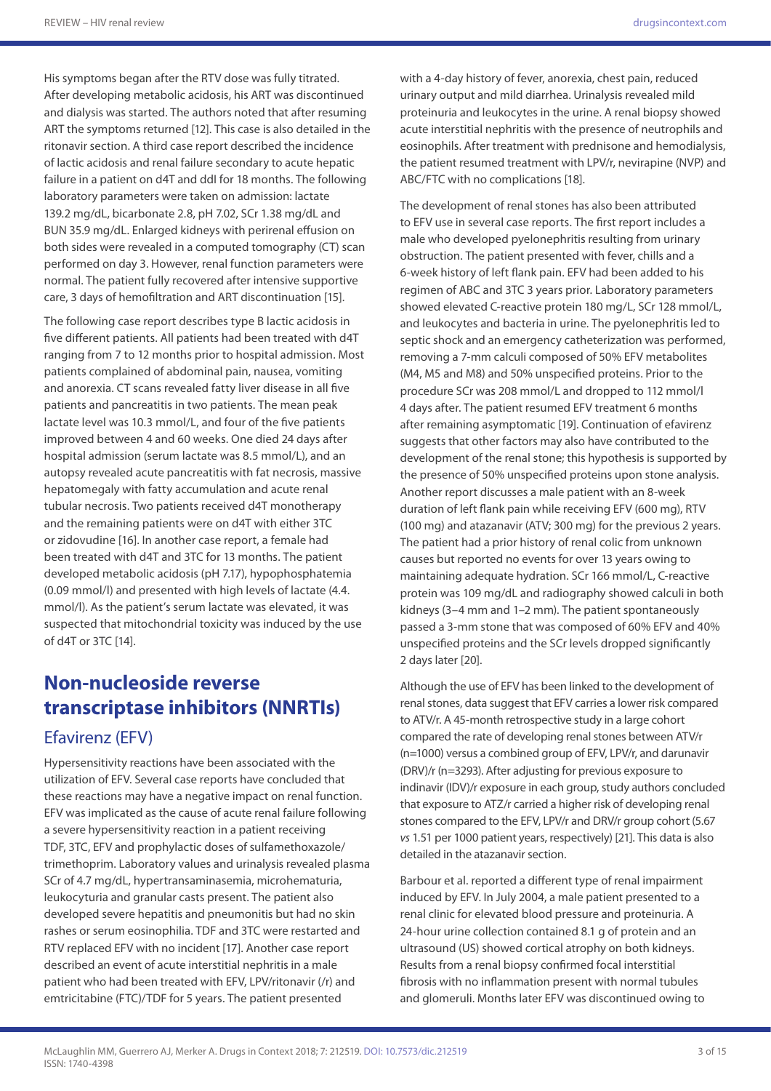His symptoms began after the RTV dose was fully titrated. After developing metabolic acidosis, his ART was discontinued and dialysis was started. The authors noted that after resuming ART the symptoms returned [12]. This case is also detailed in the ritonavir section. A third case report described the incidence of lactic acidosis and renal failure secondary to acute hepatic failure in a patient on d4T and ddI for 18 months. The following laboratory parameters were taken on admission: lactate 139.2 mg/dL, bicarbonate 2.8, pH 7.02, SCr 1.38 mg/dL and BUN 35.9 mg/dL. Enlarged kidneys with perirenal effusion on both sides were revealed in a computed tomography (CT) scan performed on day 3. However, renal function parameters were normal. The patient fully recovered after intensive supportive care, 3 days of hemofiltration and ART discontinuation [15].

The following case report describes type B lactic acidosis in five different patients. All patients had been treated with d4T ranging from 7 to 12 months prior to hospital admission. Most patients complained of abdominal pain, nausea, vomiting and anorexia. CT scans revealed fatty liver disease in all five patients and pancreatitis in two patients. The mean peak lactate level was 10.3 mmol/L, and four of the five patients improved between 4 and 60 weeks. One died 24 days after hospital admission (serum lactate was 8.5 mmol/L), and an autopsy revealed acute pancreatitis with fat necrosis, massive hepatomegaly with fatty accumulation and acute renal tubular necrosis. Two patients received d4T monotherapy and the remaining patients were on d4T with either 3TC or zidovudine [16]. In another case report, a female had been treated with d4T and 3TC for 13 months. The patient developed metabolic acidosis (pH 7.17), hypophosphatemia (0.09 mmol/l) and presented with high levels of lactate (4.4. mmol/l). As the patient's serum lactate was elevated, it was suspected that mitochondrial toxicity was induced by the use of d4T or 3TC [14].

# **Non-nucleoside reverse transcriptase inhibitors (NNRTIs)** Efavirenz (EFV)

Hypersensitivity reactions have been associated with the utilization of EFV. Several case reports have concluded that these reactions may have a negative impact on renal function. EFV was implicated as the cause of acute renal failure following a severe hypersensitivity reaction in a patient receiving TDF, 3TC, EFV and prophylactic doses of sulfamethoxazole/ trimethoprim. Laboratory values and urinalysis revealed plasma SCr of 4.7 mg/dL, hypertransaminasemia, microhematuria, leukocyturia and granular casts present. The patient also developed severe hepatitis and pneumonitis but had no skin rashes or serum eosinophilia. TDF and 3TC were restarted and RTV replaced EFV with no incident [17]. Another case report described an event of acute interstitial nephritis in a male patient who had been treated with EFV, LPV/ritonavir (/r) and emtricitabine (FTC)/TDF for 5 years. The patient presented

with a 4-day history of fever, anorexia, chest pain, reduced urinary output and mild diarrhea. Urinalysis revealed mild proteinuria and leukocytes in the urine. A renal biopsy showed acute interstitial nephritis with the presence of neutrophils and eosinophils. After treatment with prednisone and hemodialysis, the patient resumed treatment with LPV/r, nevirapine (NVP) and ABC/FTC with no complications [18].

The development of renal stones has also been attributed to EFV use in several case reports. The first report includes a male who developed pyelonephritis resulting from urinary obstruction. The patient presented with fever, chills and a 6-week history of left flank pain. EFV had been added to his regimen of ABC and 3TC 3 years prior. Laboratory parameters showed elevated C-reactive protein 180 mg/L, SCr 128 mmol/L, and leukocytes and bacteria in urine. The pyelonephritis led to septic shock and an emergency catheterization was performed, removing a 7-mm calculi composed of 50% EFV metabolites (M4, M5 and M8) and 50% unspecified proteins. Prior to the procedure SCr was 208 mmol/L and dropped to 112 mmol/l 4 days after. The patient resumed EFV treatment 6 months after remaining asymptomatic [19]. Continuation of efavirenz suggests that other factors may also have contributed to the development of the renal stone; this hypothesis is supported by the presence of 50% unspecified proteins upon stone analysis. Another report discusses a male patient with an 8-week duration of left flank pain while receiving EFV (600 mg), RTV (100 mg) and atazanavir (ATV; 300 mg) for the previous 2 years. The patient had a prior history of renal colic from unknown causes but reported no events for over 13 years owing to maintaining adequate hydration. SCr 166 mmol/L, C-reactive protein was 109 mg/dL and radiography showed calculi in both kidneys (3–4 mm and 1–2 mm). The patient spontaneously passed a 3-mm stone that was composed of 60% EFV and 40% unspecified proteins and the SCr levels dropped significantly 2 days later [20].

Although the use of EFV has been linked to the development of renal stones, data suggest that EFV carries a lower risk compared to ATV/r. A 45-month retrospective study in a large cohort compared the rate of developing renal stones between ATV/r (n=1000) versus a combined group of EFV, LPV/r, and darunavir (DRV)/r (n=3293). After adjusting for previous exposure to indinavir (IDV)/r exposure in each group, study authors concluded that exposure to ATZ/r carried a higher risk of developing renal stones compared to the EFV, LPV/r and DRV/r group cohort (5.67 *vs* 1.51 per 1000 patient years, respectively) [21]. This data is also detailed in the atazanavir section.

Barbour et al. reported a different type of renal impairment induced by EFV. In July 2004, a male patient presented to a renal clinic for elevated blood pressure and proteinuria. A 24-hour urine collection contained 8.1 g of protein and an ultrasound (US) showed cortical atrophy on both kidneys. Results from a renal biopsy confirmed focal interstitial fibrosis with no inflammation present with normal tubules and glomeruli. Months later EFV was discontinued owing to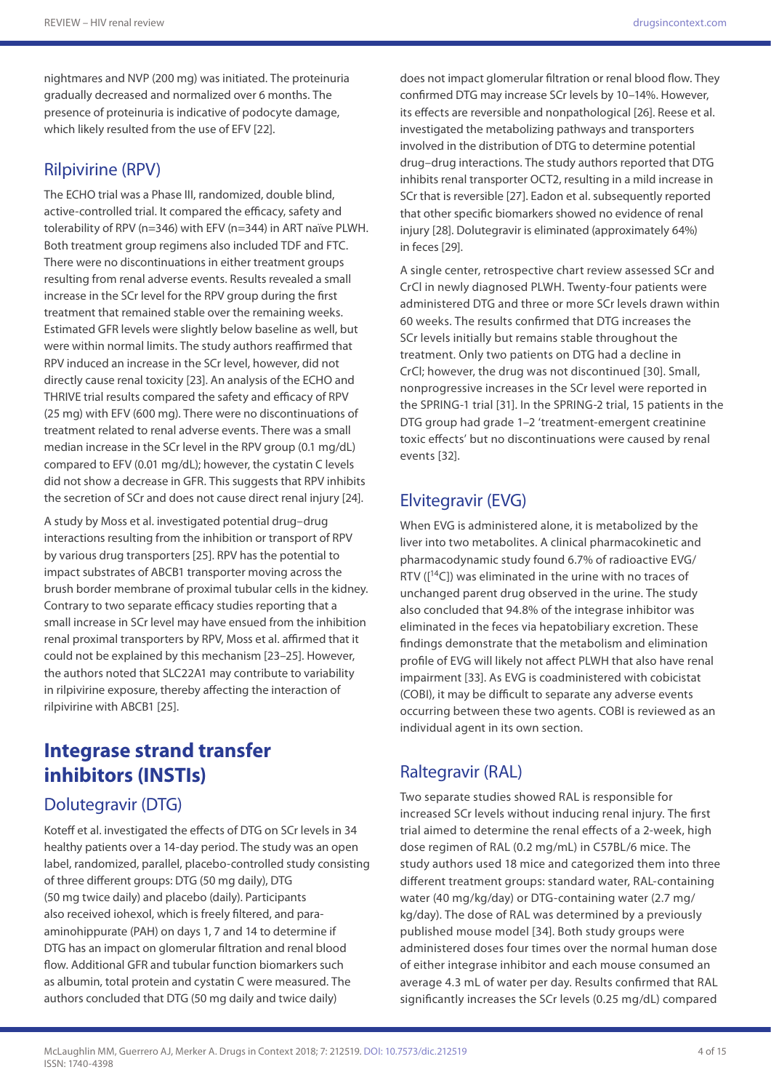nightmares and NVP (200 mg) was initiated. The proteinuria gradually decreased and normalized over 6 months. The presence of proteinuria is indicative of podocyte damage, which likely resulted from the use of EFV [22].

### Rilpivirine (RPV)

The ECHO trial was a Phase III, randomized, double blind, active-controlled trial. It compared the efficacy, safety and tolerability of RPV (n=346) with EFV (n=344) in ART naïve PLWH. Both treatment group regimens also included TDF and FTC. There were no discontinuations in either treatment groups resulting from renal adverse events. Results revealed a small increase in the SCr level for the RPV group during the first treatment that remained stable over the remaining weeks. Estimated GFR levels were slightly below baseline as well, but were within normal limits. The study authors reaffirmed that RPV induced an increase in the SCr level, however, did not directly cause renal toxicity [23]. An analysis of the ECHO and THRIVE trial results compared the safety and efficacy of RPV (25 mg) with EFV (600 mg). There were no discontinuations of treatment related to renal adverse events. There was a small median increase in the SCr level in the RPV group (0.1 mg/dL) compared to EFV (0.01 mg/dL); however, the cystatin C levels did not show a decrease in GFR. This suggests that RPV inhibits the secretion of SCr and does not cause direct renal injury [24].

A study by Moss et al. investigated potential drug–drug interactions resulting from the inhibition or transport of RPV by various drug transporters [25]. RPV has the potential to impact substrates of ABCB1 transporter moving across the brush border membrane of proximal tubular cells in the kidney. Contrary to two separate efficacy studies reporting that a small increase in SCr level may have ensued from the inhibition renal proximal transporters by RPV, Moss et al. affirmed that it could not be explained by this mechanism [23–25]. However, the authors noted that SLC22A1 may contribute to variability in rilpivirine exposure, thereby affecting the interaction of rilpivirine with ABCB1 [25].

# **Integrase strand transfer inhibitors (INSTIs)**

### Dolutegravir (DTG)

Koteff et al. investigated the effects of DTG on SCr levels in 34 healthy patients over a 14-day period. The study was an open label, randomized, parallel, placebo-controlled study consisting of three different groups: DTG (50 mg daily), DTG (50 mg twice daily) and placebo (daily). Participants also received iohexol, which is freely filtered, and paraaminohippurate (PAH) on days 1, 7 and 14 to determine if DTG has an impact on glomerular filtration and renal blood flow. Additional GFR and tubular function biomarkers such as albumin, total protein and cystatin C were measured. The authors concluded that DTG (50 mg daily and twice daily)

does not impact glomerular filtration or renal blood flow. They confirmed DTG may increase SCr levels by 10–14%. However, its effects are reversible and nonpathological [26]. Reese et al. investigated the metabolizing pathways and transporters involved in the distribution of DTG to determine potential drug–drug interactions. The study authors reported that DTG inhibits renal transporter OCT2, resulting in a mild increase in SCr that is reversible [27]. Eadon et al. subsequently reported that other specific biomarkers showed no evidence of renal injury [28]. Dolutegravir is eliminated (approximately 64%) in feces [29].

A single center, retrospective chart review assessed SCr and CrCl in newly diagnosed PLWH. Twenty-four patients were administered DTG and three or more SCr levels drawn within 60 weeks. The results confirmed that DTG increases the SCr levels initially but remains stable throughout the treatment. Only two patients on DTG had a decline in CrCl; however, the drug was not discontinued [30]. Small, nonprogressive increases in the SCr level were reported in the SPRING-1 trial [31]. In the SPRING-2 trial, 15 patients in the DTG group had grade 1–2 'treatment-emergent creatinine toxic effects' but no discontinuations were caused by renal events [32].

### Elvitegravir (EVG)

When EVG is administered alone, it is metabolized by the liver into two metabolites. A clinical pharmacokinetic and pharmacodynamic study found 6.7% of radioactive EVG/ RTV ( $[14C]$ ) was eliminated in the urine with no traces of unchanged parent drug observed in the urine. The study also concluded that 94.8% of the integrase inhibitor was eliminated in the feces via hepatobiliary excretion. These findings demonstrate that the metabolism and elimination profile of EVG will likely not affect PLWH that also have renal impairment [33]. As EVG is coadministered with cobicistat (COBI), it may be difficult to separate any adverse events occurring between these two agents. COBI is reviewed as an individual agent in its own section.

## Raltegravir (RAL)

Two separate studies showed RAL is responsible for increased SCr levels without inducing renal injury. The first trial aimed to determine the renal effects of a 2-week, high dose regimen of RAL (0.2 mg/mL) in C57BL/6 mice. The study authors used 18 mice and categorized them into three different treatment groups: standard water, RAL-containing water (40 mg/kg/day) or DTG-containing water (2.7 mg/ kg/day). The dose of RAL was determined by a previously published mouse model [34]. Both study groups were administered doses four times over the normal human dose of either integrase inhibitor and each mouse consumed an average 4.3 mL of water per day. Results confirmed that RAL significantly increases the SCr levels (0.25 mg/dL) compared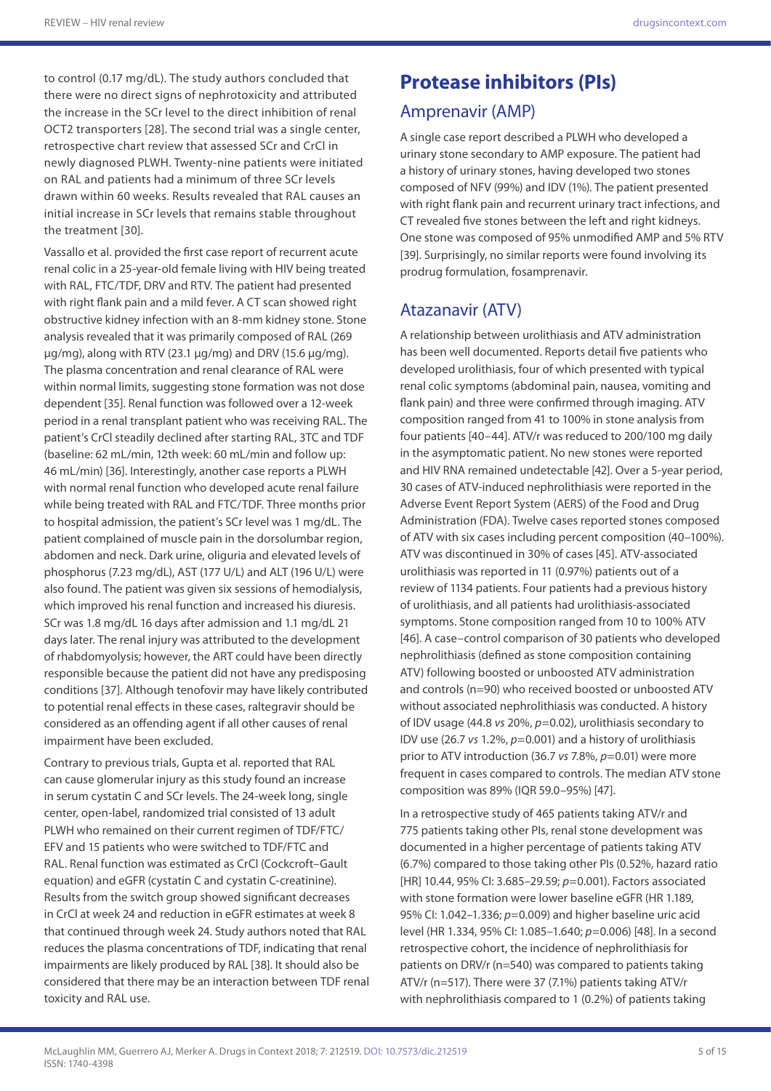to control (0.17 mg/dL). The study authors concluded that there were no direct signs of nephrotoxicity and attributed the increase in the SCr level to the direct inhibition of renal OCT2 transporters [28]. The second trial was a single center, retrospective chart review that assessed SCr and CrCl in newly diagnosed PLWH. Twenty-nine patients were initiated on RAL and patients had a minimum of three SCr levels drawn within 60 weeks. Results revealed that RAL causes an initial increase in SCr levels that remains stable throughout the treatment [30].

Vassallo et al. provided the first case report of recurrent acute renal colic in a 25-year-old female living with HIV being treated with RAL, FTC/TDF, DRV and RTV. The patient had presented with right flank pain and a mild fever. A CT scan showed right obstructive kidney infection with an 8-mm kidney stone. Stone analysis revealed that it was primarily composed of RAL (269 µg/mg), along with RTV (23.1 µg/mg) and DRV (15.6 µg/mg). The plasma concentration and renal clearance of RAL were within normal limits, suggesting stone formation was not dose dependent [35]. Renal function was followed over a 12-week period in a renal transplant patient who was receiving RAL. The patient's CrCl steadily declined after starting RAL, 3TC and TDF (baseline: 62 mL/min, 12th week: 60 mL/min and follow up: 46 mL/min) [36]. Interestingly, another case reports a PLWH with normal renal function who developed acute renal failure while being treated with RAL and FTC/TDF. Three months prior to hospital admission, the patient's SCr level was 1 mg/dL. The patient complained of muscle pain in the dorsolumbar region, abdomen and neck. Dark urine, oliguria and elevated levels of phosphorus (7.23 mg/dL), AST (177 U/L) and ALT (196 U/L) were also found. The patient was given six sessions of hemodialysis, which improved his renal function and increased his diuresis. SCr was 1.8 mg/dL 16 days after admission and 1.1 mg/dL 21 days later. The renal injury was attributed to the development of rhabdomyolysis; however, the ART could have been directly responsible because the patient did not have any predisposing conditions [37]. Although tenofovir may have likely contributed to potential renal effects in these cases, raltegravir should be considered as an offending agent if all other causes of renal impairment have been excluded.

Contrary to previous trials, Gupta et al. reported that RAL can cause glomerular injury as this study found an increase in serum cystatin C and SCr levels. The 24-week long, single center, open-label, randomized trial consisted of 13 adult PLWH who remained on their current regimen of TDF/FTC/ EFV and 15 patients who were switched to TDF/FTC and RAL. Renal function was estimated as CrCl (Cockcroft–Gault equation) and eGFR (cystatin C and cystatin C-creatinine). Results from the switch group showed significant decreases in CrCl at week 24 and reduction in eGFR estimates at week 8 that continued through week 24. Study authors noted that RAL reduces the plasma concentrations of TDF, indicating that renal impairments are likely produced by RAL [38]. It should also be considered that there may be an interaction between TDF renal toxicity and RAL use.

# **Protease inhibitors (PIs)**

# Amprenavir (AMP)

A single case report described a PLWH who developed a urinary stone secondary to AMP exposure. The patient had a history of urinary stones, having developed two stones composed of NFV (99%) and IDV (1%). The patient presented with right flank pain and recurrent urinary tract infections, and CT revealed five stones between the left and right kidneys. One stone was composed of 95% unmodified AMP and 5% RTV [39]. Surprisingly, no similar reports were found involving its prodrug formulation, fosamprenavir.

### Atazanavir (ATV)

A relationship between urolithiasis and ATV administration has been well documented. Reports detail five patients who developed urolithiasis, four of which presented with typical renal colic symptoms (abdominal pain, nausea, vomiting and flank pain) and three were confirmed through imaging. ATV composition ranged from 41 to 100% in stone analysis from four patients [40–44]. ATV/r was reduced to 200/100 mg daily in the asymptomatic patient. No new stones were reported and HIV RNA remained undetectable [42]. Over a 5-year period, 30 cases of ATV-induced nephrolithiasis were reported in the Adverse Event Report System (AERS) of the Food and Drug Administration (FDA). Twelve cases reported stones composed of ATV with six cases including percent composition (40–100%). ATV was discontinued in 30% of cases [45]. ATV-associated urolithiasis was reported in 11 (0.97%) patients out of a review of 1134 patients. Four patients had a previous history of urolithiasis, and all patients had urolithiasis-associated symptoms. Stone composition ranged from 10 to 100% ATV [46]. A case–control comparison of 30 patients who developed nephrolithiasis (defined as stone composition containing ATV) following boosted or unboosted ATV administration and controls (n=90) who received boosted or unboosted ATV without associated nephrolithiasis was conducted. A history of IDV usage (44.8 *vs* 20%, *p*=0.02), urolithiasis secondary to IDV use (26.7 *vs* 1.2%, *p*=0.001) and a history of urolithiasis prior to ATV introduction (36.7 *vs* 7.8%, *p*=0.01) were more frequent in cases compared to controls. The median ATV stone composition was 89% (IQR 59.0–95%) [47].

In a retrospective study of 465 patients taking ATV/r and 775 patients taking other PIs, renal stone development was documented in a higher percentage of patients taking ATV (6.7%) compared to those taking other PIs (0.52%, hazard ratio [HR] 10.44, 95% CI: 3.685-29.59; *p*=0.001). Factors associated with stone formation were lower baseline eGFR (HR 1.189, 95% CI: 1.042–1.336; *p*=0.009) and higher baseline uric acid level (HR 1.334, 95% CI: 1.085–1.640; *p*=0.006) [48]. In a second retrospective cohort, the incidence of nephrolithiasis for patients on DRV/r (n=540) was compared to patients taking ATV/r (n=517). There were 37 (7.1%) patients taking ATV/r with nephrolithiasis compared to 1 (0.2%) of patients taking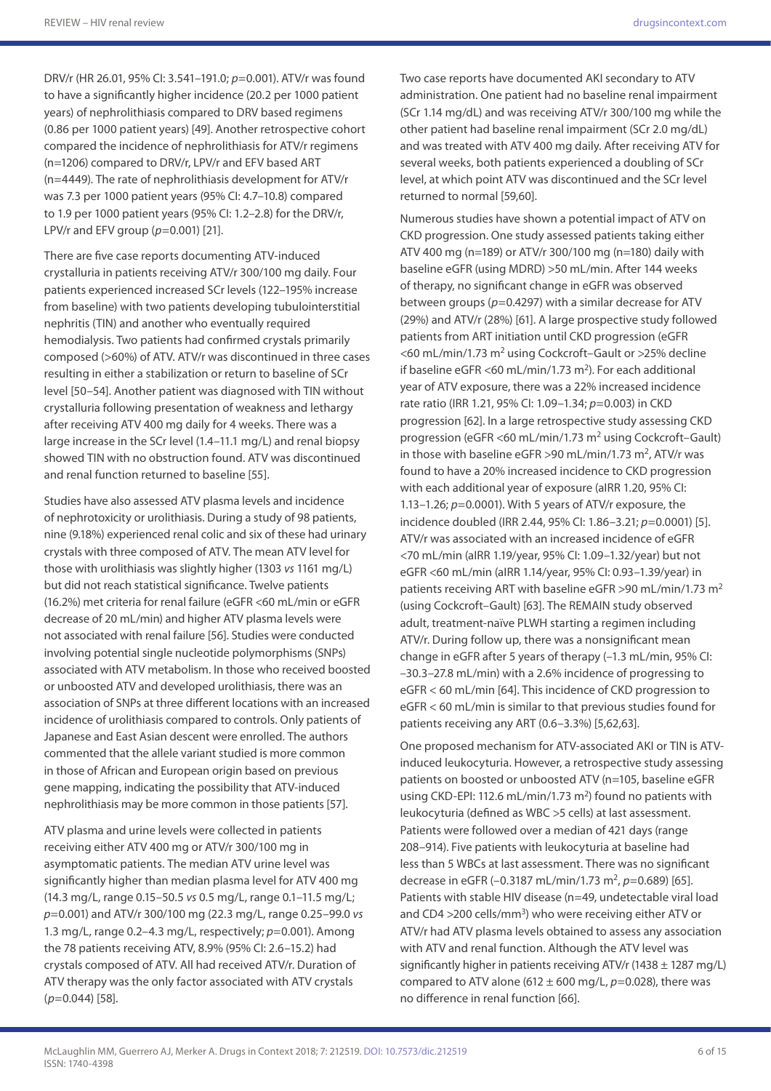DRV/r (HR 26.01, 95% CI: 3.541–191.0; *p*=0.001). ATV/r was found to have a significantly higher incidence (20.2 per 1000 patient years) of nephrolithiasis compared to DRV based regimens (0.86 per 1000 patient years) [49]. Another retrospective cohort compared the incidence of nephrolithiasis for ATV/r regimens (n=1206) compared to DRV/r, LPV/r and EFV based ART (n=4449). The rate of nephrolithiasis development for ATV/r was 7.3 per 1000 patient years (95% CI: 4.7–10.8) compared to 1.9 per 1000 patient years (95% CI: 1.2–2.8) for the DRV/r, LPV/r and EFV group (*p*=0.001) [21].

There are five case reports documenting ATV-induced crystalluria in patients receiving ATV/r 300/100 mg daily. Four patients experienced increased SCr levels (122–195% increase from baseline) with two patients developing tubulointerstitial nephritis (TIN) and another who eventually required hemodialysis. Two patients had confirmed crystals primarily composed (>60%) of ATV. ATV/r was discontinued in three cases resulting in either a stabilization or return to baseline of SCr level [50–54]. Another patient was diagnosed with TIN without crystalluria following presentation of weakness and lethargy after receiving ATV 400 mg daily for 4 weeks. There was a large increase in the SCr level (1.4–11.1 mg/L) and renal biopsy showed TIN with no obstruction found. ATV was discontinued and renal function returned to baseline [55].

Studies have also assessed ATV plasma levels and incidence of nephrotoxicity or urolithiasis. During a study of 98 patients, nine (9.18%) experienced renal colic and six of these had urinary crystals with three composed of ATV. The mean ATV level for those with urolithiasis was slightly higher (1303 *vs* 1161 mg/L) but did not reach statistical significance. Twelve patients (16.2%) met criteria for renal failure (eGFR <60 mL/min or eGFR decrease of 20 mL/min) and higher ATV plasma levels were not associated with renal failure [56]. Studies were conducted involving potential single nucleotide polymorphisms (SNPs) associated with ATV metabolism. In those who received boosted or unboosted ATV and developed urolithiasis, there was an association of SNPs at three different locations with an increased incidence of urolithiasis compared to controls. Only patients of Japanese and East Asian descent were enrolled. The authors commented that the allele variant studied is more common in those of African and European origin based on previous gene mapping, indicating the possibility that ATV-induced nephrolithiasis may be more common in those patients [57].

ATV plasma and urine levels were collected in patients receiving either ATV 400 mg or ATV/r 300/100 mg in asymptomatic patients. The median ATV urine level was significantly higher than median plasma level for ATV 400 mg (14.3 mg/L, range 0.15–50.5 *vs* 0.5 mg/L, range 0.1–11.5 mg/L; *p*=0.001) and ATV/r 300/100 mg (22.3 mg/L, range 0.25–99.0 *vs* 1.3 mg/L, range 0.2–4.3 mg/L, respectively; *p*=0.001). Among the 78 patients receiving ATV, 8.9% (95% CI: 2.6–15.2) had crystals composed of ATV. All had received ATV/r. Duration of ATV therapy was the only factor associated with ATV crystals (*p*=0.044) [58].

Two case reports have documented AKI secondary to ATV administration. One patient had no baseline renal impairment (SCr 1.14 mg/dL) and was receiving ATV/r 300/100 mg while the other patient had baseline renal impairment (SCr 2.0 mg/dL) and was treated with ATV 400 mg daily. After receiving ATV for several weeks, both patients experienced a doubling of SCr level, at which point ATV was discontinued and the SCr level returned to normal [59,60].

Numerous studies have shown a potential impact of ATV on CKD progression. One study assessed patients taking either ATV 400 mg (n=189) or ATV/r 300/100 mg (n=180) daily with baseline eGFR (using MDRD) >50 mL/min. After 144 weeks of therapy, no significant change in eGFR was observed between groups (*p*=0.4297) with a similar decrease for ATV (29%) and ATV/r (28%) [61]. A large prospective study followed patients from ART initiation until CKD progression (eGFR  $<$ 60 mL/min/1.73 m<sup>2</sup> using Cockcroft–Gault or >25% decline if baseline eGFR <60 mL/min/1.73 m<sup>2</sup>). For each additional year of ATV exposure, there was a 22% increased incidence rate ratio (IRR 1.21, 95% CI: 1.09–1.34; *p*=0.003) in CKD progression [62]. In a large retrospective study assessing CKD progression (eGFR <60 mL/min/1.73 m2 using Cockcroft–Gault) in those with baseline eGFR >90 mL/min/1.73 m<sup>2</sup>, ATV/r was found to have a 20% increased incidence to CKD progression with each additional year of exposure (aIRR 1.20, 95% CI: 1.13–1.26; *p*=0.0001). With 5 years of ATV/r exposure, the incidence doubled (IRR 2.44, 95% CI: 1.86–3.21; *p*=0.0001) [5]. ATV/r was associated with an increased incidence of eGFR <70 mL/min (aIRR 1.19/year, 95% CI: 1.09–1.32/year) but not eGFR <60 mL/min (aIRR 1.14/year, 95% CI: 0.93–1.39/year) in patients receiving ART with baseline eGFR >90 mL/min/1.73 m<sup>2</sup> (using Cockcroft–Gault) [63]. The REMAIN study observed adult, treatment-naïve PLWH starting a regimen including ATV/r. During follow up, there was a nonsignificant mean change in eGFR after 5 years of therapy (–1.3 mL/min, 95% CI: –30.3–27.8 mL/min) with a 2.6% incidence of progressing to eGFR < 60 mL/min [64]. This incidence of CKD progression to eGFR < 60 mL/min is similar to that previous studies found for patients receiving any ART (0.6–3.3%) [5,62,63].

One proposed mechanism for ATV-associated AKI or TIN is ATVinduced leukocyturia. However, a retrospective study assessing patients on boosted or unboosted ATV (n=105, baseline eGFR using CKD-EPI: 112.6 mL/min/1.73 m<sup>2</sup>) found no patients with leukocyturia (defined as WBC >5 cells) at last assessment. Patients were followed over a median of 421 days (range 208–914). Five patients with leukocyturia at baseline had less than 5 WBCs at last assessment. There was no significant decrease in eGFR (–0.3187 mL/min/1.73 m2, *p*=0.689) [65]. Patients with stable HIV disease (n=49, undetectable viral load and CD4 > 200 cells/mm<sup>3</sup>) who were receiving either ATV or ATV/r had ATV plasma levels obtained to assess any association with ATV and renal function. Although the ATV level was significantly higher in patients receiving ATV/r (1438 ± 1287 mg/L) compared to ATV alone (612  $\pm$  600 mg/L,  $p$ =0.028), there was no difference in renal function [66].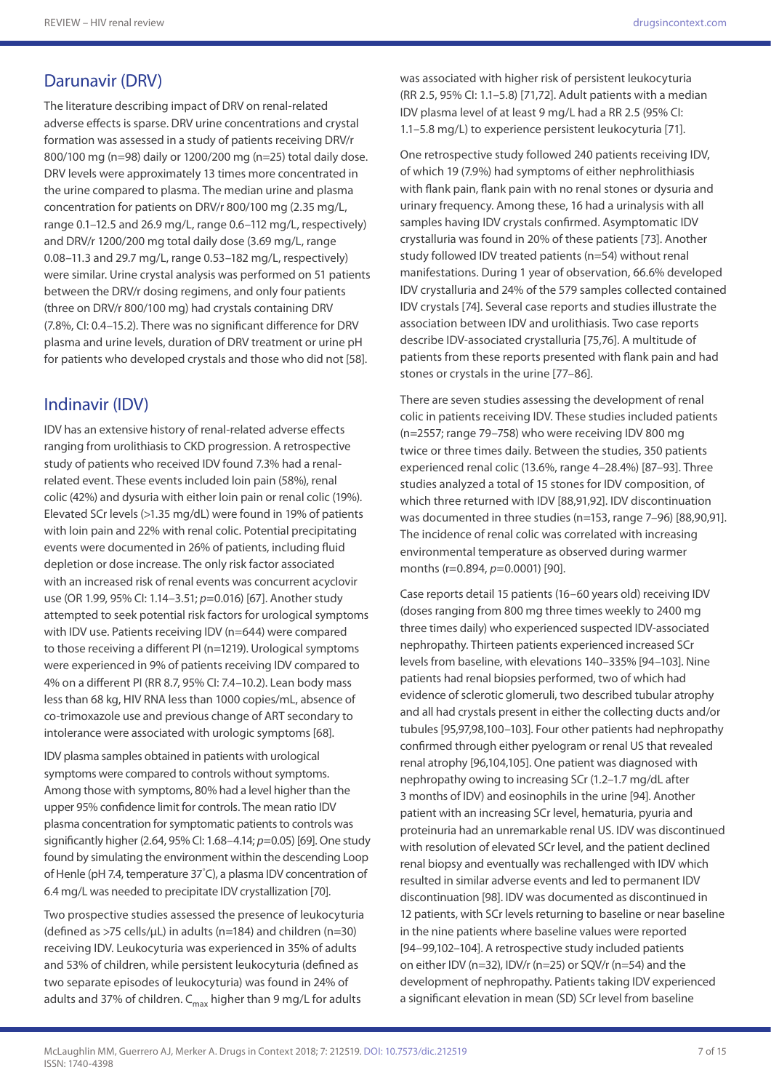### Darunavir (DRV)

The literature describing impact of DRV on renal-related adverse effects is sparse. DRV urine concentrations and crystal formation was assessed in a study of patients receiving DRV/r 800/100 mg (n=98) daily or 1200/200 mg (n=25) total daily dose. DRV levels were approximately 13 times more concentrated in the urine compared to plasma. The median urine and plasma concentration for patients on DRV/r 800/100 mg (2.35 mg/L, range 0.1–12.5 and 26.9 mg/L, range 0.6–112 mg/L, respectively) and DRV/r 1200/200 mg total daily dose (3.69 mg/L, range 0.08–11.3 and 29.7 mg/L, range 0.53–182 mg/L, respectively) were similar. Urine crystal analysis was performed on 51 patients between the DRV/r dosing regimens, and only four patients (three on DRV/r 800/100 mg) had crystals containing DRV (7.8%, CI: 0.4–15.2). There was no significant difference for DRV plasma and urine levels, duration of DRV treatment or urine pH for patients who developed crystals and those who did not [58].

### Indinavir (IDV)

IDV has an extensive history of renal-related adverse effects ranging from urolithiasis to CKD progression. A retrospective study of patients who received IDV found 7.3% had a renalrelated event. These events included loin pain (58%), renal colic (42%) and dysuria with either loin pain or renal colic (19%). Elevated SCr levels (>1.35 mg/dL) were found in 19% of patients with loin pain and 22% with renal colic. Potential precipitating events were documented in 26% of patients, including fluid depletion or dose increase. The only risk factor associated with an increased risk of renal events was concurrent acyclovir use (OR 1.99, 95% CI: 1.14–3.51; *p*=0.016) [67]. Another study attempted to seek potential risk factors for urological symptoms with IDV use. Patients receiving IDV (n=644) were compared to those receiving a different PI (n=1219). Urological symptoms were experienced in 9% of patients receiving IDV compared to 4% on a different PI (RR 8.7, 95% CI: 7.4–10.2). Lean body mass less than 68 kg, HIV RNA less than 1000 copies/mL, absence of co-trimoxazole use and previous change of ART secondary to intolerance were associated with urologic symptoms [68].

IDV plasma samples obtained in patients with urological symptoms were compared to controls without symptoms. Among those with symptoms, 80% had a level higher than the upper 95% confidence limit for controls. The mean ratio IDV plasma concentration for symptomatic patients to controls was significantly higher (2.64, 95% CI: 1.68–4.14; *p*=0.05) [69]. One study found by simulating the environment within the descending Loop of Henle (pH 7.4, temperature 37° C), a plasma IDV concentration of 6.4 mg/L was needed to precipitate IDV crystallization [70].

Two prospective studies assessed the presence of leukocyturia (defined as  $>75$  cells/ $\mu$ L) in adults (n=184) and children (n=30) receiving IDV. Leukocyturia was experienced in 35% of adults and 53% of children, while persistent leukocyturia (defined as two separate episodes of leukocyturia) was found in 24% of adults and 37% of children.  $C_{\text{max}}$  higher than 9 mg/L for adults

was associated with higher risk of persistent leukocyturia (RR 2.5, 95% CI: 1.1–5.8) [71,72]. Adult patients with a median IDV plasma level of at least 9 mg/L had a RR 2.5 (95% CI: 1.1–5.8 mg/L) to experience persistent leukocyturia [71].

One retrospective study followed 240 patients receiving IDV, of which 19 (7.9%) had symptoms of either nephrolithiasis with flank pain, flank pain with no renal stones or dysuria and urinary frequency. Among these, 16 had a urinalysis with all samples having IDV crystals confirmed. Asymptomatic IDV crystalluria was found in 20% of these patients [73]. Another study followed IDV treated patients (n=54) without renal manifestations. During 1 year of observation, 66.6% developed IDV crystalluria and 24% of the 579 samples collected contained IDV crystals [74]. Several case reports and studies illustrate the association between IDV and urolithiasis. Two case reports describe IDV-associated crystalluria [75,76]. A multitude of patients from these reports presented with flank pain and had stones or crystals in the urine [77–86].

There are seven studies assessing the development of renal colic in patients receiving IDV. These studies included patients (n=2557; range 79–758) who were receiving IDV 800 mg twice or three times daily. Between the studies, 350 patients experienced renal colic (13.6%, range 4–28.4%) [87–93]. Three studies analyzed a total of 15 stones for IDV composition, of which three returned with IDV [88,91,92]. IDV discontinuation was documented in three studies (n=153, range 7–96) [88,90,91]. The incidence of renal colic was correlated with increasing environmental temperature as observed during warmer months (r=0.894, *p*=0.0001) [90].

Case reports detail 15 patients (16–60 years old) receiving IDV (doses ranging from 800 mg three times weekly to 2400 mg three times daily) who experienced suspected IDV-associated nephropathy. Thirteen patients experienced increased SCr levels from baseline, with elevations 140–335% [94–103]. Nine patients had renal biopsies performed, two of which had evidence of sclerotic glomeruli, two described tubular atrophy and all had crystals present in either the collecting ducts and/or tubules [95,97,98,100–103]. Four other patients had nephropathy confirmed through either pyelogram or renal US that revealed renal atrophy [96,104,105]. One patient was diagnosed with nephropathy owing to increasing SCr (1.2–1.7 mg/dL after 3 months of IDV) and eosinophils in the urine [94]. Another patient with an increasing SCr level, hematuria, pyuria and proteinuria had an unremarkable renal US. IDV was discontinued with resolution of elevated SCr level, and the patient declined renal biopsy and eventually was rechallenged with IDV which resulted in similar adverse events and led to permanent IDV discontinuation [98]. IDV was documented as discontinued in 12 patients, with SCr levels returning to baseline or near baseline in the nine patients where baseline values were reported [94–99,102–104]. A retrospective study included patients on either IDV (n=32), IDV/r (n=25) or SQV/r (n=54) and the development of nephropathy. Patients taking IDV experienced a significant elevation in mean (SD) SCr level from baseline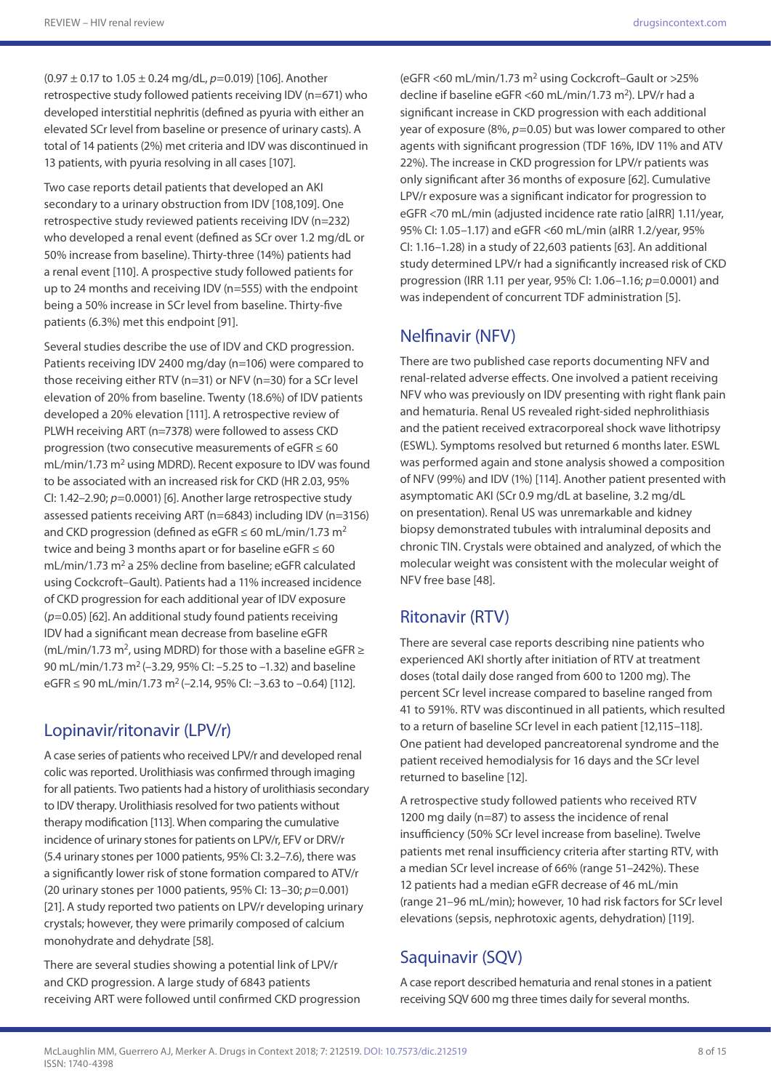(0.97 ± 0.17 to 1.05 ± 0.24 mg/dL, *p*=0.019) [106]. Another retrospective study followed patients receiving IDV (n=671) who developed interstitial nephritis (defined as pyuria with either an elevated SCr level from baseline or presence of urinary casts). A total of 14 patients (2%) met criteria and IDV was discontinued in 13 patients, with pyuria resolving in all cases [107].

Two case reports detail patients that developed an AKI secondary to a urinary obstruction from IDV [108,109]. One retrospective study reviewed patients receiving IDV (n=232) who developed a renal event (defined as SCr over 1.2 mg/dL or 50% increase from baseline). Thirty-three (14%) patients had a renal event [110]. A prospective study followed patients for up to 24 months and receiving IDV (n=555) with the endpoint being a 50% increase in SCr level from baseline. Thirty-five patients (6.3%) met this endpoint [91].

Several studies describe the use of IDV and CKD progression. Patients receiving IDV 2400 mg/day (n=106) were compared to those receiving either RTV (n=31) or NFV (n=30) for a SCr level elevation of 20% from baseline. Twenty (18.6%) of IDV patients developed a 20% elevation [111]. A retrospective review of PLWH receiving ART (n=7378) were followed to assess CKD progression (two consecutive measurements of eGFR ≤ 60 mL/min/1.73 m<sup>2</sup> using MDRD). Recent exposure to IDV was found to be associated with an increased risk for CKD (HR 2.03, 95% CI: 1.42–2.90; *p*=0.0001) [6]. Another large retrospective study assessed patients receiving ART (n=6843) including IDV (n=3156) and CKD progression (defined as eGFR  $\leq$  60 mL/min/1.73 m<sup>2</sup> twice and being 3 months apart or for baseline eGFR  $\leq 60$ mL/min/1.73 m<sup>2</sup> a 25% decline from baseline; eGFR calculated using Cockcroft–Gault). Patients had a 11% increased incidence of CKD progression for each additional year of IDV exposure (*p*=0.05) [62]. An additional study found patients receiving IDV had a significant mean decrease from baseline eGFR (mL/min/1.73 m<sup>2</sup>, using MDRD) for those with a baseline eGFR  $\geq$ 90 mL/min/1.73 m2 (–3.29, 95% CI: –5.25 to –1.32) and baseline eGFR ≤ 90 mL/min/1.73 m<sup>2</sup> (-2.14, 95% CI: -3.63 to -0.64) [112].

### Lopinavir/ritonavir (LPV/r)

A case series of patients who received LPV/r and developed renal colic was reported. Urolithiasis was confirmed through imaging for all patients. Two patients had a history of urolithiasis secondary to IDV therapy. Urolithiasis resolved for two patients without therapy modification [113]. When comparing the cumulative incidence of urinary stones for patients on LPV/r, EFV or DRV/r (5.4 urinary stones per 1000 patients, 95% CI: 3.2–7.6), there was a significantly lower risk of stone formation compared to ATV/r (20 urinary stones per 1000 patients, 95% CI: 13–30; *p*=0.001) [21]. A study reported two patients on LPV/r developing urinary crystals; however, they were primarily composed of calcium monohydrate and dehydrate [58].

There are several studies showing a potential link of LPV/r and CKD progression. A large study of 6843 patients receiving ART were followed until confirmed CKD progression

(eGFR <60 mL/min/1.73 m2 using Cockcroft–Gault or >25% decline if baseline eGFR <60 mL/min/1.73 m2). LPV/r had a significant increase in CKD progression with each additional year of exposure (8%, *p*=0.05) but was lower compared to other agents with significant progression (TDF 16%, IDV 11% and ATV 22%). The increase in CKD progression for LPV/r patients was only significant after 36 months of exposure [62]. Cumulative LPV/r exposure was a significant indicator for progression to eGFR <70 mL/min (adjusted incidence rate ratio [aIRR] 1.11/year, 95% CI: 1.05–1.17) and eGFR <60 mL/min (aIRR 1.2/year, 95% CI: 1.16–1.28) in a study of 22,603 patients [63]. An additional study determined LPV/r had a significantly increased risk of CKD progression (IRR 1.11 per year, 95% CI: 1.06–1.16; *p*=0.0001) and was independent of concurrent TDF administration [5].

### Nelfinavir (NFV)

There are two published case reports documenting NFV and renal-related adverse effects. One involved a patient receiving NFV who was previously on IDV presenting with right flank pain and hematuria. Renal US revealed right-sided nephrolithiasis and the patient received extracorporeal shock wave lithotripsy (ESWL). Symptoms resolved but returned 6 months later. ESWL was performed again and stone analysis showed a composition of NFV (99%) and IDV (1%) [114]. Another patient presented with asymptomatic AKI (SCr 0.9 mg/dL at baseline, 3.2 mg/dL on presentation). Renal US was unremarkable and kidney biopsy demonstrated tubules with intraluminal deposits and chronic TIN. Crystals were obtained and analyzed, of which the molecular weight was consistent with the molecular weight of NFV free base [48].

### Ritonavir (RTV)

There are several case reports describing nine patients who experienced AKI shortly after initiation of RTV at treatment doses (total daily dose ranged from 600 to 1200 mg). The percent SCr level increase compared to baseline ranged from 41 to 591%. RTV was discontinued in all patients, which resulted to a return of baseline SCr level in each patient [12,115–118]. One patient had developed pancreatorenal syndrome and the patient received hemodialysis for 16 days and the SCr level returned to baseline [12].

A retrospective study followed patients who received RTV 1200 mg daily (n=87) to assess the incidence of renal insufficiency (50% SCr level increase from baseline). Twelve patients met renal insufficiency criteria after starting RTV, with a median SCr level increase of 66% (range 51–242%). These 12 patients had a median eGFR decrease of 46 mL/min (range 21–96 mL/min); however, 10 had risk factors for SCr level elevations (sepsis, nephrotoxic agents, dehydration) [119].

## Saquinavir (SQV)

A case report described hematuria and renal stones in a patient receiving SQV 600 mg three times daily for several months.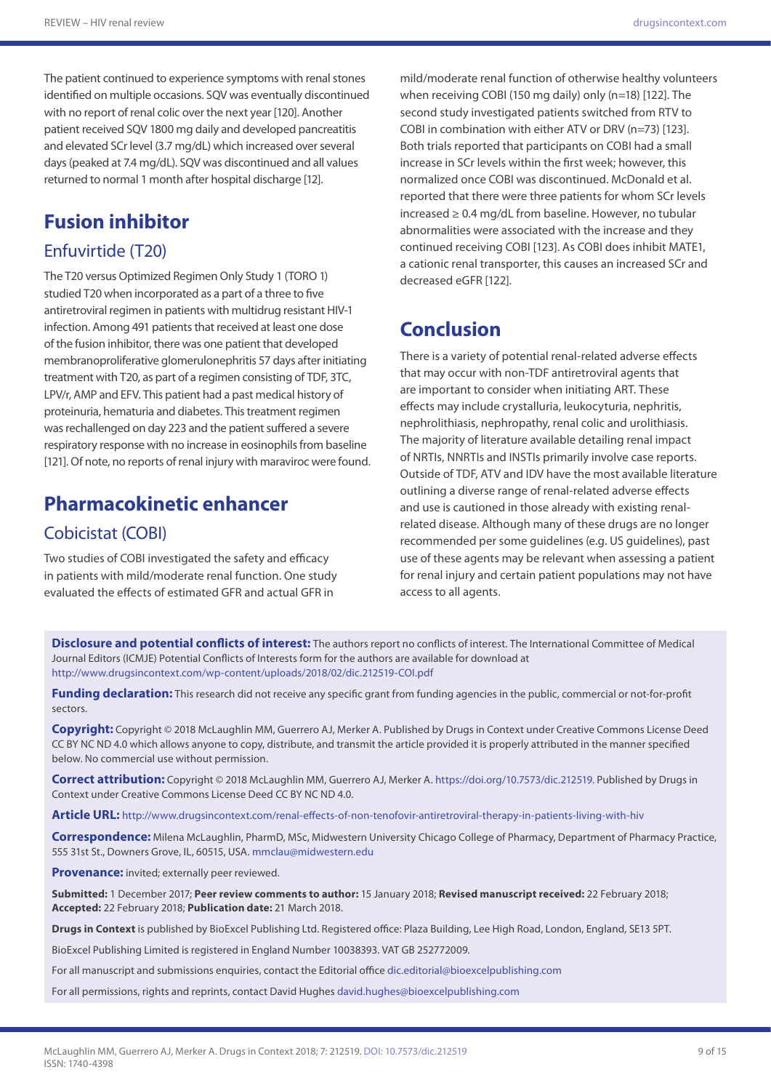The patient continued to experience symptoms with renal stones identified on multiple occasions. SQV was eventually discontinued with no report of renal colic over the next year [120]. Another patient received SQV 1800 mg daily and developed pancreatitis and elevated SCr level (3.7 mg/dL) which increased over several days (peaked at 7.4 mg/dL). SQV was discontinued and all values returned to normal 1 month after hospital discharge [12].

# **Fusion inhibitor**

#### Enfuvirtide (T20)

The T20 versus Optimized Regimen Only Study 1 (TORO 1) studied T20 when incorporated as a part of a three to five antiretroviral regimen in patients with multidrug resistant HIV-1 infection. Among 491 patients that received at least one dose of the fusion inhibitor, there was one patient that developed membranoproliferative glomerulonephritis 57 days after initiating treatment with T20, as part of a regimen consisting of TDF, 3TC, LPV/r, AMP and EFV. This patient had a past medical history of proteinuria, hematuria and diabetes. This treatment regimen was rechallenged on day 223 and the patient suffered a severe respiratory response with no increase in eosinophils from baseline [121]. Of note, no reports of renal injury with maraviroc were found.

# **Pharmacokinetic enhancer**

#### Cobicistat (COBI)

Two studies of COBI investigated the safety and efficacy in patients with mild/moderate renal function. One study evaluated the effects of estimated GFR and actual GFR in

mild/moderate renal function of otherwise healthy volunteers when receiving COBI (150 mg daily) only (n=18) [122]. The second study investigated patients switched from RTV to COBI in combination with either ATV or DRV (n=73) [123]. Both trials reported that participants on COBI had a small increase in SCr levels within the first week; however, this normalized once COBI was discontinued. McDonald et al. reported that there were three patients for whom SCr levels increased ≥ 0.4 mg/dL from baseline. However, no tubular abnormalities were associated with the increase and they continued receiving COBI [123]. As COBI does inhibit MATE1, a cationic renal transporter, this causes an increased SCr and decreased eGFR [122].

## **Conclusion**

There is a variety of potential renal-related adverse effects that may occur with non-TDF antiretroviral agents that are important to consider when initiating ART. These effects may include crystalluria, leukocyturia, nephritis, nephrolithiasis, nephropathy, renal colic and urolithiasis. The majority of literature available detailing renal impact of NRTIs, NNRTIs and INSTIs primarily involve case reports. Outside of TDF, ATV and IDV have the most available literature outlining a diverse range of renal-related adverse effects and use is cautioned in those already with existing renalrelated disease. Although many of these drugs are no longer recommended per some guidelines (e.g. US guidelines), past use of these agents may be relevant when assessing a patient for renal injury and certain patient populations may not have access to all agents.

**Disclosure and potential conflicts of interest:** The authors report no conflicts of interest. The International Committee of Medical Journal Editors (ICMJE) Potential Conflicts of Interests form for the authors are available for download at <http://www.drugsincontext.com/wp-content/uploads/2018/02/dic.212519-COI.pdf>

**Funding declaration:** This research did not receive any specific grant from funding agencies in the public, commercial or not-for-profit sectors.

**Copyright:** Copyright © 2018 McLaughlin MM, Guerrero AJ, Merker A. Published by Drugs in Context under Creative Commons License Deed CC BY NC ND 4.0 which allows anyone to copy, distribute, and transmit the article provided it is properly attributed in the manner specified below. No commercial use without permission.

**Correct attribution:** Copyright © 2018 McLaughlin MM, Guerrero AJ, Merker A.<https://doi.org/10.7573/dic.212519>. Published by Drugs in Context under Creative Commons License Deed CC BY NC ND 4.0.

**Article URL:** http://www.drugsincontext.com/renal-effects-of-non-tenofovir-antiretroviral-therapy-in-patients-living-with-hiv

**Correspondence:** Milena McLaughlin, PharmD, MSc, Midwestern University Chicago College of Pharmacy, Department of Pharmacy Practice, 555 31st St., Downers Grove, IL, 60515, USA. [mmclau@midwestern.edu](mailto:mmclau@midwestern.edu)

**Provenance:** invited; externally peer reviewed.

**Submitted:** 1 December 2017; **Peer review comments to author:** 15 January 2018; **Revised manuscript received:** 22 February 2018; **Accepted:** 22 February 2018; **Publication date:** 21 March 2018.

**Drugs in Context** is published by BioExcel Publishing Ltd. Registered office: Plaza Building, Lee High Road, London, England, SE13 5PT.

BioExcel Publishing Limited is registered in England Number 10038393. VAT GB 252772009.

For all manuscript and submissions enquiries, contact the Editorial office [dic.editorial@bioexcelpublishing.com](mailto:dic.editorial@bioexcelpublishing.com)

For all permissions, rights and reprints, contact David Hughes [david.hughes@bioexcelpublishing.com](mailto:david.hughes@bioexcelpublishing.com)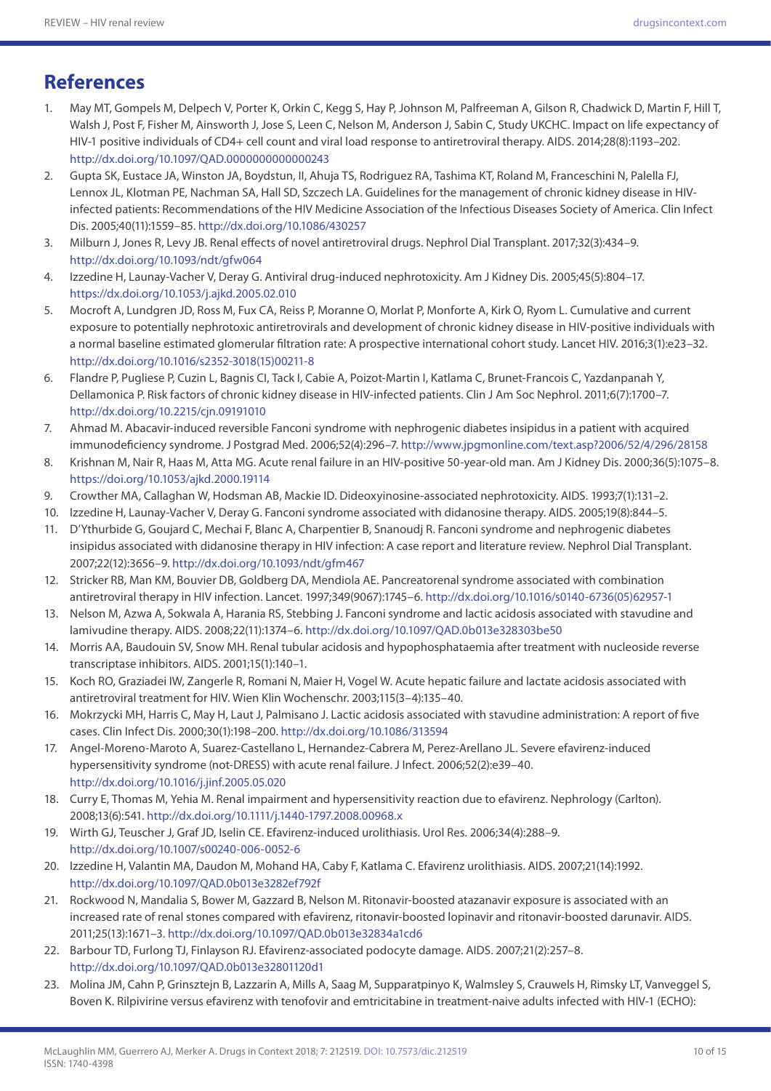# **References**

- 1. May MT, Gompels M, Delpech V, Porter K, Orkin C, Kegg S, Hay P, Johnson M, Palfreeman A, Gilson R, Chadwick D, Martin F, Hill T, Walsh J, Post F, Fisher M, Ainsworth J, Jose S, Leen C, Nelson M, Anderson J, Sabin C, Study UKCHC. Impact on life expectancy of HIV-1 positive individuals of CD4+ cell count and viral load response to antiretroviral therapy. AIDS. 2014;28(8):1193–202. <http://dx.doi.org/10.1097/QAD.0000000000000243>
- 2. Gupta SK, Eustace JA, Winston JA, Boydstun, II, Ahuja TS, Rodriguez RA, Tashima KT, Roland M, Franceschini N, Palella FJ, Lennox JL, Klotman PE, Nachman SA, Hall SD, Szczech LA. Guidelines for the management of chronic kidney disease in HIVinfected patients: Recommendations of the HIV Medicine Association of the Infectious Diseases Society of America. Clin Infect Dis. 2005;40(11):1559–85.<http://dx.doi.org/10.1086/430257>
- 3. Milburn J, Jones R, Levy JB. Renal effects of novel antiretroviral drugs. Nephrol Dial Transplant. 2017;32(3):434–9. [http://dx.doi.org/10.1093/ndt/gfw064](doi:http://dx.doi.org/10.1093/ndt/gfw064)
- 4. Izzedine H, Launay-Vacher V, Deray G. Antiviral drug-induced nephrotoxicity. Am J Kidney Dis. 2005;45(5):804–17. <https://dx.doi.org/10.1053/j.ajkd.2005.02.010>
- 5. Mocroft A, Lundgren JD, Ross M, Fux CA, Reiss P, Moranne O, Morlat P, Monforte A, Kirk O, Ryom L. Cumulative and current exposure to potentially nephrotoxic antiretrovirals and development of chronic kidney disease in HIV-positive individuals with a normal baseline estimated glomerular filtration rate: A prospective international cohort study. Lancet HIV. 2016;3(1):e23–32. [http://dx.doi.org/10.1016/s2352-3018\(15\)00211-8](http://dx.doi.org/10.1016/s2352-3018(15)00211-8)
- 6. Flandre P, Pugliese P, Cuzin L, Bagnis CI, Tack I, Cabie A, Poizot-Martin I, Katlama C, Brunet-Francois C, Yazdanpanah Y, Dellamonica P. Risk factors of chronic kidney disease in HIV-infected patients. Clin J Am Soc Nephrol. 2011;6(7):1700–7. <http://dx.doi.org/10.2215/cjn.09191010>
- 7. Ahmad M. Abacavir-induced reversible Fanconi syndrome with nephrogenic diabetes insipidus in a patient with acquired immunodeficiency syndrome. J Postgrad Med. 2006;52(4):296–7. http://www.jpgmonline.com/text.asp?2006/52/4/296/28158
- 8. Krishnan M, Nair R, Haas M, Atta MG. Acute renal failure in an HIV-positive 50-year-old man. Am J Kidney Dis. 2000;36(5):1075–8. https://doi.org/10.1053/ajkd.2000.19114
- 9. Crowther MA, Callaghan W, Hodsman AB, Mackie ID. Dideoxyinosine-associated nephrotoxicity. AIDS. 1993;7(1):131–2.
- 10. Izzedine H, Launay-Vacher V, Deray G. Fanconi syndrome associated with didanosine therapy. AIDS. 2005;19(8):844–5.
- 11. D'Ythurbide G, Goujard C, Mechai F, Blanc A, Charpentier B, Snanoudj R. Fanconi syndrome and nephrogenic diabetes insipidus associated with didanosine therapy in HIV infection: A case report and literature review. Nephrol Dial Transplant. 2007;22(12):3656–9.<http://dx.doi.org/10.1093/ndt/gfm467>
- 12. Stricker RB, Man KM, Bouvier DB, Goldberg DA, Mendiola AE. Pancreatorenal syndrome associated with combination antiretroviral therapy in HIV infection. Lancet. 1997;349(9067):1745–6. [http://dx.doi.org/10.1016/s0140-6736\(05\)62957-1](http://dx.doi.org/10.1016/s0140-6736(05)62957-1)
- 13. Nelson M, Azwa A, Sokwala A, Harania RS, Stebbing J. Fanconi syndrome and lactic acidosis associated with stavudine and lamivudine therapy. AIDS. 2008;22(11):1374–6. <http://dx.doi.org/10.1097/QAD.0b013e328303be50>
- 14. Morris AA, Baudouin SV, Snow MH. Renal tubular acidosis and hypophosphataemia after treatment with nucleoside reverse transcriptase inhibitors. AIDS. 2001;15(1):140–1.
- 15. Koch RO, Graziadei IW, Zangerle R, Romani N, Maier H, Vogel W. Acute hepatic failure and lactate acidosis associated with antiretroviral treatment for HIV. Wien Klin Wochenschr. 2003;115(3–4):135–40.
- 16. Mokrzycki MH, Harris C, May H, Laut J, Palmisano J. Lactic acidosis associated with stavudine administration: A report of five cases. Clin Infect Dis. 2000;30(1):198–200. <http://dx.doi.org/10.1086/313594>
- 17. Angel-Moreno-Maroto A, Suarez-Castellano L, Hernandez-Cabrera M, Perez-Arellano JL. Severe efavirenz-induced hypersensitivity syndrome (not-DRESS) with acute renal failure. J Infect. 2006;52(2):e39–40. <http://dx.doi.org/10.1016/j.jinf.2005.05.020>
- 18. Curry E, Thomas M, Yehia M. Renal impairment and hypersensitivity reaction due to efavirenz. Nephrology (Carlton). 2008;13(6):541. <http://dx.doi.org/10.1111/j.1440-1797.2008.00968.x>
- 19. Wirth GJ, Teuscher J, Graf JD, Iselin CE. Efavirenz-induced urolithiasis. Urol Res. 2006;34(4):288–9. <http://dx.doi.org/10.1007/s00240-006-0052-6>
- 20. Izzedine H, Valantin MA, Daudon M, Mohand HA, Caby F, Katlama C. Efavirenz urolithiasis. AIDS. 2007;21(14):1992. <http://dx.doi.org/10.1097/QAD.0b013e3282ef792f>
- 21. Rockwood N, Mandalia S, Bower M, Gazzard B, Nelson M. Ritonavir-boosted atazanavir exposure is associated with an increased rate of renal stones compared with efavirenz, ritonavir-boosted lopinavir and ritonavir-boosted darunavir. AIDS. 2011;25(13):1671–3. <http://dx.doi.org/10.1097/QAD.0b013e32834a1cd6>
- 22. Barbour TD, Furlong TJ, Finlayson RJ. Efavirenz-associated podocyte damage. AIDS. 2007;21(2):257–8. <http://dx.doi.org/10.1097/QAD.0b013e32801120d1>
- 23. Molina JM, Cahn P, Grinsztejn B, Lazzarin A, Mills A, Saag M, Supparatpinyo K, Walmsley S, Crauwels H, Rimsky LT, Vanveggel S, Boven K. Rilpivirine versus efavirenz with tenofovir and emtricitabine in treatment-naive adults infected with HIV-1 (ECHO):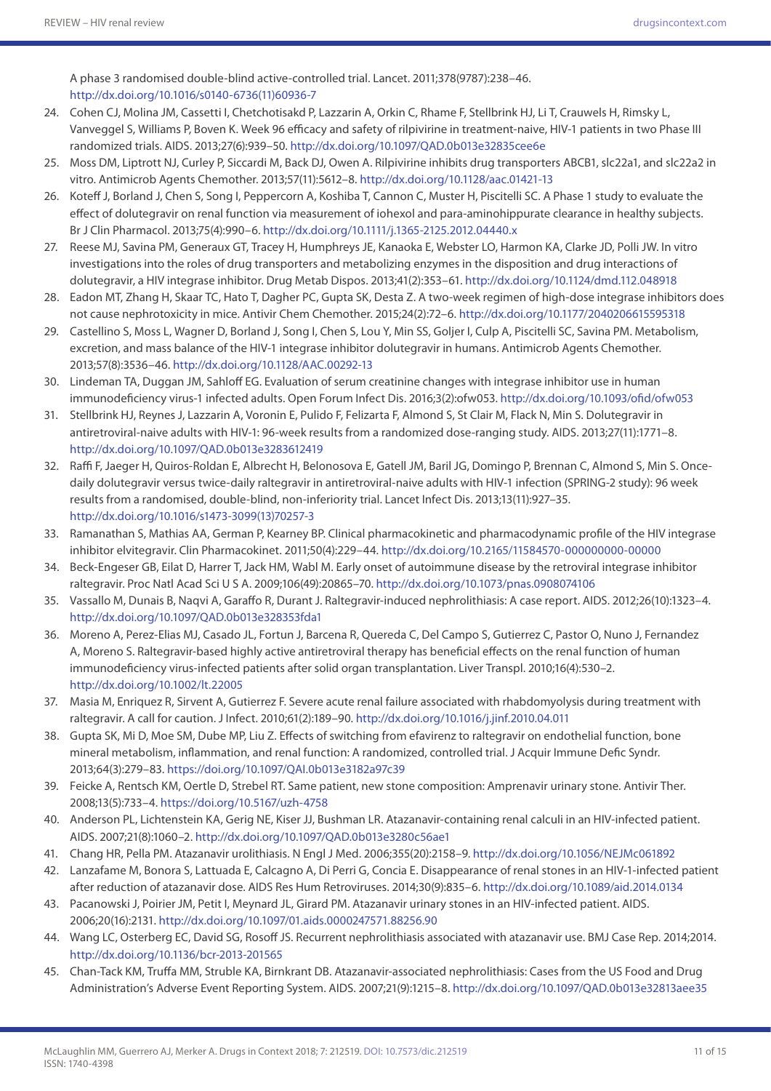A phase 3 randomised double-blind active-controlled trial. Lancet. 2011;378(9787):238–46. [http://dx.doi.org/10.1016/s0140-6736\(11\)60936-7](http://dx.doi.org/10.1016/s0140-6736(11)60936-7)

- 24. Cohen CJ, Molina JM, Cassetti I, Chetchotisakd P, Lazzarin A, Orkin C, Rhame F, Stellbrink HJ, Li T, Crauwels H, Rimsky L, Vanveggel S, Williams P, Boven K. Week 96 efficacy and safety of rilpivirine in treatment-naive, HIV-1 patients in two Phase III randomized trials. AIDS. 2013;27(6):939–50.<http://dx.doi.org/10.1097/QAD.0b013e32835cee6e>
- 25. Moss DM, Liptrott NJ, Curley P, Siccardi M, Back DJ, Owen A. Rilpivirine inhibits drug transporters ABCB1, slc22a1, and slc22a2 in vitro. Antimicrob Agents Chemother. 2013;57(11):5612–8.<http://dx.doi.org/10.1128/aac.01421-13>
- 26. Koteff J, Borland J, Chen S, Song I, Peppercorn A, Koshiba T, Cannon C, Muster H, Piscitelli SC. A Phase 1 study to evaluate the effect of dolutegravir on renal function via measurement of iohexol and para-aminohippurate clearance in healthy subjects. Br J Clin Pharmacol. 2013;75(4):990–6.<http://dx.doi.org/10.1111/j.1365-2125.2012.04440.x>
- 27. Reese MJ, Savina PM, Generaux GT, Tracey H, Humphreys JE, Kanaoka E, Webster LO, Harmon KA, Clarke JD, Polli JW. In vitro investigations into the roles of drug transporters and metabolizing enzymes in the disposition and drug interactions of dolutegravir, a HIV integrase inhibitor. Drug Metab Dispos. 2013;41(2):353–61.<http://dx.doi.org/10.1124/dmd.112.048918>
- 28. Eadon MT, Zhang H, Skaar TC, Hato T, Dagher PC, Gupta SK, Desta Z. A two-week regimen of high-dose integrase inhibitors does not cause nephrotoxicity in mice. Antivir Chem Chemother. 2015;24(2):72–6. <http://dx.doi.org/10.1177/2040206615595318>
- 29. Castellino S, Moss L, Wagner D, Borland J, Song I, Chen S, Lou Y, Min SS, Goljer I, Culp A, Piscitelli SC, Savina PM. Metabolism, excretion, and mass balance of the HIV-1 integrase inhibitor dolutegravir in humans. Antimicrob Agents Chemother. 2013;57(8):3536–46. <http://dx.doi.org/10.1128/AAC.00292-13>
- 30. Lindeman TA, Duggan JM, Sahloff EG. Evaluation of serum creatinine changes with integrase inhibitor use in human immunodeficiency virus-1 infected adults. Open Forum Infect Dis. 2016;3(2):ofw053. <http://dx.doi.org/10.1093/ofid/ofw053>
- 31. Stellbrink HJ, Reynes J, Lazzarin A, Voronin E, Pulido F, Felizarta F, Almond S, St Clair M, Flack N, Min S. Dolutegravir in antiretroviral-naive adults with HIV-1: 96-week results from a randomized dose-ranging study. AIDS. 2013;27(11):1771–8. <http://dx.doi.org/10.1097/QAD.0b013e3283612419>
- 32. Raffi F, Jaeger H, Quiros-Roldan E, Albrecht H, Belonosova E, Gatell JM, Baril JG, Domingo P, Brennan C, Almond S, Min S. Oncedaily dolutegravir versus twice-daily raltegravir in antiretroviral-naive adults with HIV-1 infection (SPRING-2 study): 96 week results from a randomised, double-blind, non-inferiority trial. Lancet Infect Dis. 2013;13(11):927–35. [http://dx.doi.org/10.1016/s1473-3099\(13\)70257-3](http://dx.doi.org/10.1016/s1473-3099(13)70257-3)
- 33. Ramanathan S, Mathias AA, German P, Kearney BP. Clinical pharmacokinetic and pharmacodynamic profile of the HIV integrase inhibitor elvitegravir. Clin Pharmacokinet. 2011;50(4):229–44. <http://dx.doi.org/10.2165/11584570-000000000-00000>
- 34. Beck-Engeser GB, Eilat D, Harrer T, Jack HM, Wabl M. Early onset of autoimmune disease by the retroviral integrase inhibitor raltegravir. Proc Natl Acad Sci U S A. 2009;106(49):20865–70. <http://dx.doi.org/10.1073/pnas.0908074106>
- 35. Vassallo M, Dunais B, Naqvi A, Garaffo R, Durant J. Raltegravir-induced nephrolithiasis: A case report. AIDS. 2012;26(10):1323–4. <http://dx.doi.org/10.1097/QAD.0b013e328353fda1>
- 36. Moreno A, Perez-Elias MJ, Casado JL, Fortun J, Barcena R, Quereda C, Del Campo S, Gutierrez C, Pastor O, Nuno J, Fernandez A, Moreno S. Raltegravir-based highly active antiretroviral therapy has beneficial effects on the renal function of human immunodeficiency virus-infected patients after solid organ transplantation. Liver Transpl. 2010;16(4):530–2. <http://dx.doi.org/10.1002/lt.22005>
- 37. Masia M, Enriquez R, Sirvent A, Gutierrez F. Severe acute renal failure associated with rhabdomyolysis during treatment with raltegravir. A call for caution. J Infect. 2010;61(2):189–90. <http://dx.doi.org/10.1016/j.jinf.2010.04.011>
- 38. Gupta SK, Mi D, Moe SM, Dube MP, Liu Z. Effects of switching from efavirenz to raltegravir on endothelial function, bone mineral metabolism, inflammation, and renal function: A randomized, controlled trial. J Acquir Immune Defic Syndr. 2013;64(3):279–83. https://doi.org/10.1097/QAI.0b013e3182a97c39
- 39. Feicke A, Rentsch KM, Oertle D, Strebel RT. Same patient, new stone composition: Amprenavir urinary stone. Antivir Ther. 2008;13(5):733–4. https://doi.org/10.5167/uzh-4758
- 40. Anderson PL, Lichtenstein KA, Gerig NE, Kiser JJ, Bushman LR. Atazanavir-containing renal calculi in an HIV-infected patient. AIDS. 2007;21(8):1060–2. <http://dx.doi.org/10.1097/QAD.0b013e3280c56ae1>
- 41. Chang HR, Pella PM. Atazanavir urolithiasis. N Engl J Med. 2006;355(20):2158–9.<http://dx.doi.org/10.1056/NEJMc061892>
- 42. Lanzafame M, Bonora S, Lattuada E, Calcagno A, Di Perri G, Concia E. Disappearance of renal stones in an HIV-1-infected patient after reduction of atazanavir dose. AIDS Res Hum Retroviruses. 2014;30(9):835–6.<http://dx.doi.org/10.1089/aid.2014.0134>
- 43. Pacanowski J, Poirier JM, Petit I, Meynard JL, Girard PM. Atazanavir urinary stones in an HIV-infected patient. AIDS. 2006;20(16):2131. <http://dx.doi.org/10.1097/01.aids.0000247571.88256.90>
- 44. Wang LC, Osterberg EC, David SG, Rosoff JS. Recurrent nephrolithiasis associated with atazanavir use. BMJ Case Rep. 2014;2014. <http://dx.doi.org/10.1136/bcr-2013-201565>
- 45. Chan-Tack KM, Truffa MM, Struble KA, Birnkrant DB. Atazanavir-associated nephrolithiasis: Cases from the US Food and Drug Administration's Adverse Event Reporting System. AIDS. 2007;21(9):1215–8. <http://dx.doi.org/10.1097/QAD.0b013e32813aee35>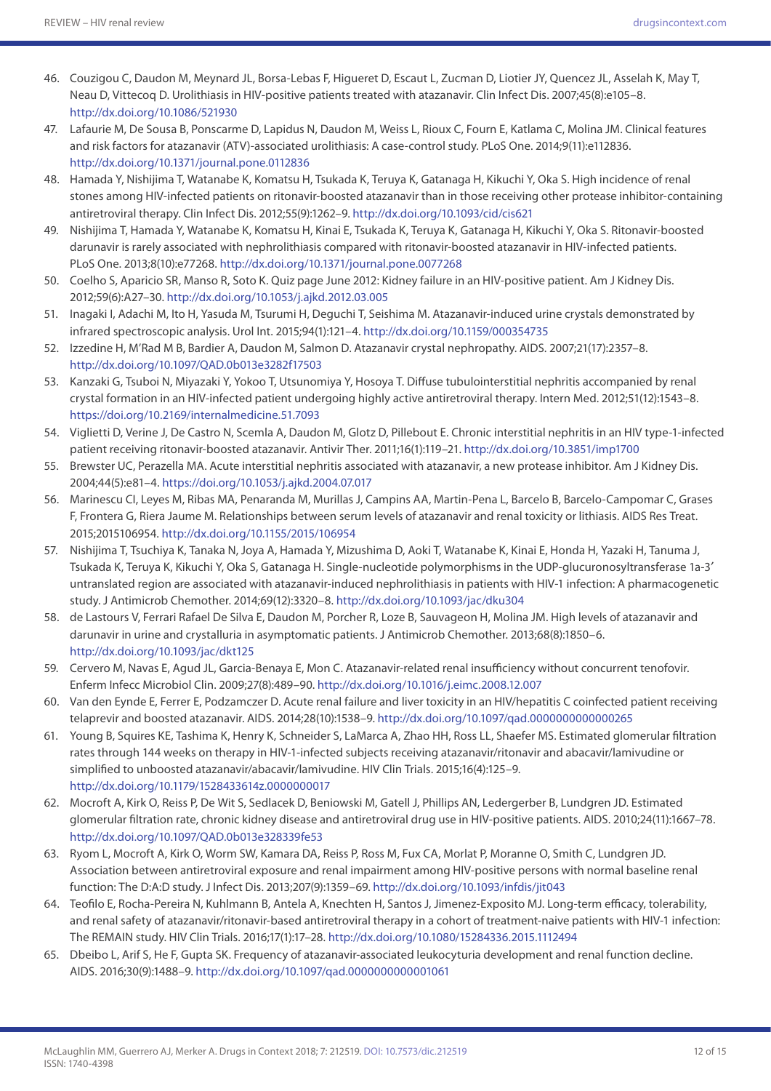- 46. Couzigou C, Daudon M, Meynard JL, Borsa-Lebas F, Higueret D, Escaut L, Zucman D, Liotier JY, Quencez JL, Asselah K, May T, Neau D, Vittecoq D. Urolithiasis in HIV-positive patients treated with atazanavir. Clin Infect Dis. 2007;45(8):e105–8. <http://dx.doi.org/10.1086/521930>
- 47. Lafaurie M, De Sousa B, Ponscarme D, Lapidus N, Daudon M, Weiss L, Rioux C, Fourn E, Katlama C, Molina JM. Clinical features and risk factors for atazanavir (ATV)-associated urolithiasis: A case-control study. PLoS One. 2014;9(11):e112836. <http://dx.doi.org/10.1371/journal.pone.0112836>
- 48. Hamada Y, Nishijima T, Watanabe K, Komatsu H, Tsukada K, Teruya K, Gatanaga H, Kikuchi Y, Oka S. High incidence of renal stones among HIV-infected patients on ritonavir-boosted atazanavir than in those receiving other protease inhibitor-containing antiretroviral therapy. Clin Infect Dis. 2012;55(9):1262–9.<http://dx.doi.org/10.1093/cid/cis621>
- 49. Nishijima T, Hamada Y, Watanabe K, Komatsu H, Kinai E, Tsukada K, Teruya K, Gatanaga H, Kikuchi Y, Oka S. Ritonavir-boosted darunavir is rarely associated with nephrolithiasis compared with ritonavir-boosted atazanavir in HIV-infected patients. PLoS One. 2013;8(10):e77268. <http://dx.doi.org/10.1371/journal.pone.0077268>
- 50. Coelho S, Aparicio SR, Manso R, Soto K. Quiz page June 2012: Kidney failure in an HIV-positive patient. Am J Kidney Dis. 2012;59(6):A27–30. <http://dx.doi.org/10.1053/j.ajkd.2012.03.005>
- 51. Inagaki I, Adachi M, Ito H, Yasuda M, Tsurumi H, Deguchi T, Seishima M. Atazanavir-induced urine crystals demonstrated by infrared spectroscopic analysis. Urol Int. 2015;94(1):121–4. <http://dx.doi.org/10.1159/000354735>
- 52. Izzedine H, M'Rad M B, Bardier A, Daudon M, Salmon D. Atazanavir crystal nephropathy. AIDS. 2007;21(17):2357–8. <http://dx.doi.org/10.1097/QAD.0b013e3282f17503>
- 53. Kanzaki G, Tsuboi N, Miyazaki Y, Yokoo T, Utsunomiya Y, Hosoya T. Diffuse tubulointerstitial nephritis accompanied by renal crystal formation in an HIV-infected patient undergoing highly active antiretroviral therapy. Intern Med. 2012;51(12):1543–8. https://doi.org/10.2169/internalmedicine.51.7093
- 54. Viglietti D, Verine J, De Castro N, Scemla A, Daudon M, Glotz D, Pillebout E. Chronic interstitial nephritis in an HIV type-1-infected patient receiving ritonavir-boosted atazanavir. Antivir Ther. 2011;16(1):119–21.<http://dx.doi.org/10.3851/imp1700>
- 55. Brewster UC, Perazella MA. Acute interstitial nephritis associated with atazanavir, a new protease inhibitor. Am J Kidney Dis. 2004;44(5):e81–4. https://doi.org/10.1053/j.ajkd.2004.07.017
- 56. Marinescu CI, Leyes M, Ribas MA, Penaranda M, Murillas J, Campins AA, Martin-Pena L, Barcelo B, Barcelo-Campomar C, Grases F, Frontera G, Riera Jaume M. Relationships between serum levels of atazanavir and renal toxicity or lithiasis. AIDS Res Treat. 2015;2015106954. <http://dx.doi.org/10.1155/2015/106954>
- 57. Nishijima T, Tsuchiya K, Tanaka N, Joya A, Hamada Y, Mizushima D, Aoki T, Watanabe K, Kinai E, Honda H, Yazaki H, Tanuma J, Tsukada K, Teruya K, Kikuchi Y, Oka S, Gatanaga H. Single-nucleotide polymorphisms in the UDP-glucuronosyltransferase 1a-3′ untranslated region are associated with atazanavir-induced nephrolithiasis in patients with HIV-1 infection: A pharmacogenetic study. J Antimicrob Chemother. 2014;69(12):3320–8. <http://dx.doi.org/10.1093/jac/dku304>
- 58. de Lastours V, Ferrari Rafael De Silva E, Daudon M, Porcher R, Loze B, Sauvageon H, Molina JM. High levels of atazanavir and darunavir in urine and crystalluria in asymptomatic patients. J Antimicrob Chemother. 2013;68(8):1850–6. <http://dx.doi.org/10.1093/jac/dkt125>
- 59. Cervero M, Navas E, Agud JL, Garcia-Benaya E, Mon C. Atazanavir-related renal insufficiency without concurrent tenofovir. Enferm Infecc Microbiol Clin. 2009;27(8):489–90.<http://dx.doi.org/10.1016/j.eimc.2008.12.007>
- 60. Van den Eynde E, Ferrer E, Podzamczer D. Acute renal failure and liver toxicity in an HIV/hepatitis C coinfected patient receiving telaprevir and boosted atazanavir. AIDS. 2014;28(10):1538–9. <http://dx.doi.org/10.1097/qad.0000000000000265>
- 61. Young B, Squires KE, Tashima K, Henry K, Schneider S, LaMarca A, Zhao HH, Ross LL, Shaefer MS. Estimated glomerular filtration rates through 144 weeks on therapy in HIV-1-infected subjects receiving atazanavir/ritonavir and abacavir/lamivudine or simplified to unboosted atazanavir/abacavir/lamivudine. HIV Clin Trials. 2015;16(4):125-9. <http://dx.doi.org/10.1179/1528433614z.0000000017>
- 62. Mocroft A, Kirk O, Reiss P, De Wit S, Sedlacek D, Beniowski M, Gatell J, Phillips AN, Ledergerber B, Lundgren JD. Estimated glomerular filtration rate, chronic kidney disease and antiretroviral drug use in HIV-positive patients. AIDS. 2010;24(11):1667–78. <http://dx.doi.org/10.1097/QAD.0b013e328339fe53>
- 63. Ryom L, Mocroft A, Kirk O, Worm SW, Kamara DA, Reiss P, Ross M, Fux CA, Morlat P, Moranne O, Smith C, Lundgren JD. Association between antiretroviral exposure and renal impairment among HIV-positive persons with normal baseline renal function: The D:A:D study. J Infect Dis. 2013;207(9):1359–69.<http://dx.doi.org/10.1093/infdis/jit043>
- 64. Teofilo E, Rocha-Pereira N, Kuhlmann B, Antela A, Knechten H, Santos J, Jimenez-Exposito MJ. Long-term efficacy, tolerability, and renal safety of atazanavir/ritonavir-based antiretroviral therapy in a cohort of treatment-naive patients with HIV-1 infection: The REMAIN study. HIV Clin Trials. 2016;17(1):17–28. <http://dx.doi.org/10.1080/15284336.2015.1112494>
- 65. Dbeibo L, Arif S, He F, Gupta SK. Frequency of atazanavir-associated leukocyturia development and renal function decline. AIDS. 2016;30(9):1488–9.<http://dx.doi.org/10.1097/qad.0000000000001061>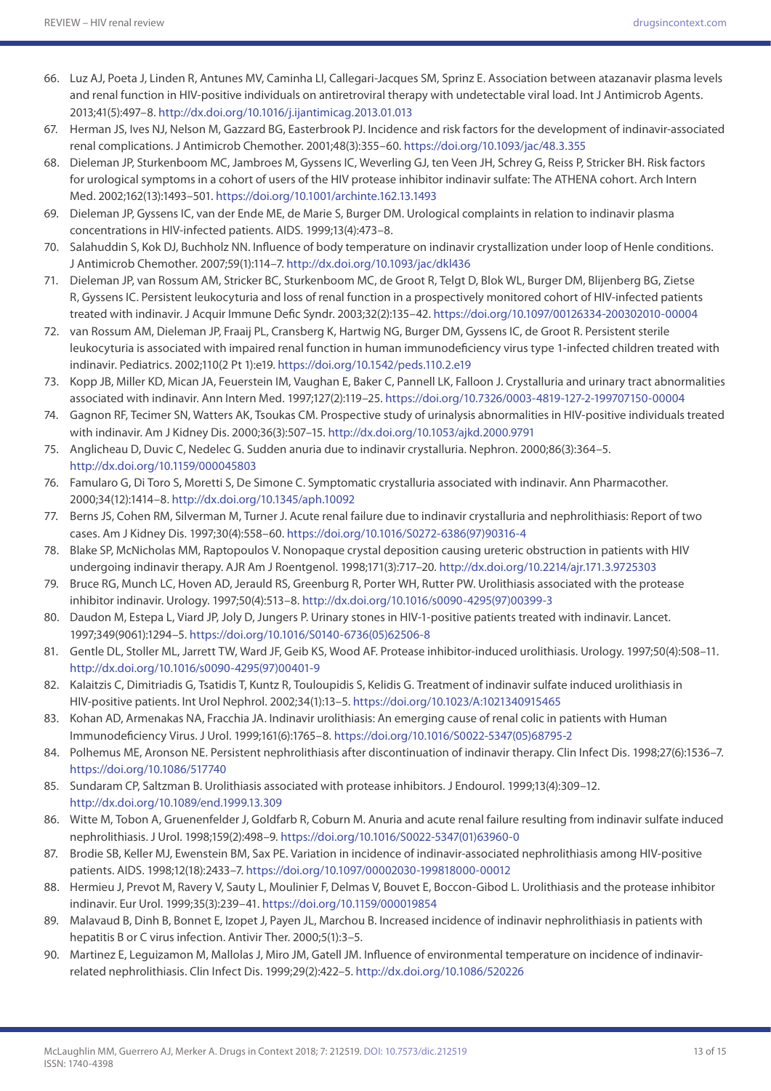- 66. Luz AJ, Poeta J, Linden R, Antunes MV, Caminha LI, Callegari-Jacques SM, Sprinz E. Association between atazanavir plasma levels and renal function in HIV-positive individuals on antiretroviral therapy with undetectable viral load. Int J Antimicrob Agents. 2013;41(5):497–8.<http://dx.doi.org/10.1016/j.ijantimicag.2013.01.013>
- 67. Herman JS, Ives NJ, Nelson M, Gazzard BG, Easterbrook PJ. Incidence and risk factors for the development of indinavir-associated renal complications. J Antimicrob Chemother. 2001;48(3):355–60. https://doi.org/10.1093/jac/48.3.355
- 68. Dieleman JP, Sturkenboom MC, Jambroes M, Gyssens IC, Weverling GJ, ten Veen JH, Schrey G, Reiss P, Stricker BH. Risk factors for urological symptoms in a cohort of users of the HIV protease inhibitor indinavir sulfate: The ATHENA cohort. Arch Intern Med. 2002;162(13):1493–501. https://doi.org/10.1001/archinte.162.13.1493
- 69. Dieleman JP, Gyssens IC, van der Ende ME, de Marie S, Burger DM. Urological complaints in relation to indinavir plasma concentrations in HIV-infected patients. AIDS. 1999;13(4):473–8.
- 70. Salahuddin S, Kok DJ, Buchholz NN. Influence of body temperature on indinavir crystallization under loop of Henle conditions. J Antimicrob Chemother. 2007;59(1):114–7.<http://dx.doi.org/10.1093/jac/dkl436>
- 71. Dieleman JP, van Rossum AM, Stricker BC, Sturkenboom MC, de Groot R, Telgt D, Blok WL, Burger DM, Blijenberg BG, Zietse R, Gyssens IC. Persistent leukocyturia and loss of renal function in a prospectively monitored cohort of HIV-infected patients treated with indinavir. J Acquir Immune Defic Syndr. 2003;32(2):135–42. https://doi.org/10.1097/00126334-200302010-00004
- 72. van Rossum AM, Dieleman JP, Fraaij PL, Cransberg K, Hartwig NG, Burger DM, Gyssens IC, de Groot R. Persistent sterile leukocyturia is associated with impaired renal function in human immunodeficiency virus type 1-infected children treated with indinavir. Pediatrics. 2002;110(2 Pt 1):e19. https://doi.org/10.1542/peds.110.2.e19
- 73. Kopp JB, Miller KD, Mican JA, Feuerstein IM, Vaughan E, Baker C, Pannell LK, Falloon J. Crystalluria and urinary tract abnormalities associated with indinavir. Ann Intern Med. 1997;127(2):119–25. https://doi.org/10.7326/0003-4819-127-2-199707150-00004
- 74. Gagnon RF, Tecimer SN, Watters AK, Tsoukas CM. Prospective study of urinalysis abnormalities in HIV-positive individuals treated with indinavir. Am J Kidney Dis. 2000;36(3):507–15.<http://dx.doi.org/10.1053/ajkd.2000.9791>
- 75. Anglicheau D, Duvic C, Nedelec G. Sudden anuria due to indinavir crystalluria. Nephron. 2000;86(3):364–5. <http://dx.doi.org/10.1159/000045803>
- 76. Famularo G, Di Toro S, Moretti S, De Simone C. Symptomatic crystalluria associated with indinavir. Ann Pharmacother. 2000;34(12):1414–8. <http://dx.doi.org/10.1345/aph.10092>
- 77. Berns JS, Cohen RM, Silverman M, Turner J. Acute renal failure due to indinavir crystalluria and nephrolithiasis: Report of two cases. Am J Kidney Dis. 1997;30(4):558–60. [https://doi.org/10.1016/S0272-6386\(97\)90316-4](https://doi.org/10.1016/S0272-6386(97)90316-4)
- 78. Blake SP, McNicholas MM, Raptopoulos V. Nonopaque crystal deposition causing ureteric obstruction in patients with HIV undergoing indinavir therapy. AJR Am J Roentgenol. 1998;171(3):717–20.<http://dx.doi.org/10.2214/ajr.171.3.9725303>
- 79. Bruce RG, Munch LC, Hoven AD, Jerauld RS, Greenburg R, Porter WH, Rutter PW. Urolithiasis associated with the protease inhibitor indinavir. Urology. 1997;50(4):513–8. [http://dx.doi.org/10.1016/s0090-4295\(97\)00399-3](http://dx.doi.org/10.1016/s0090-4295(97)00399-3)
- 80. Daudon M, Estepa L, Viard JP, Joly D, Jungers P. Urinary stones in HIV-1-positive patients treated with indinavir. Lancet. 1997;349(9061):1294–5. [https://doi.org/10.1016/S0140-6736\(05\)62506-8](https://doi.org/10.1016/S0140-6736(05)62506-8)
- 81. Gentle DL, Stoller ML, Jarrett TW, Ward JF, Geib KS, Wood AF. Protease inhibitor-induced urolithiasis. Urology. 1997;50(4):508–11. [http://dx.doi.org/10.1016/s0090-4295\(97\)00401-9](http://dx.doi.org/10.1016/s0090-4295(97)00401-9)
- 82. Kalaitzis C, Dimitriadis G, Tsatidis T, Kuntz R, Touloupidis S, Kelidis G. Treatment of indinavir sulfate induced urolithiasis in HIV-positive patients. Int Urol Nephrol. 2002;34(1):13–5. https://doi.org/10.1023/A:1021340915465
- 83. Kohan AD, Armenakas NA, Fracchia JA. Indinavir urolithiasis: An emerging cause of renal colic in patients with Human Immunodeficiency Virus. J Urol. 1999;161(6):1765–8. [https://doi.org/10.1016/S0022-5347\(05\)68795-2](https://doi.org/10.1016/S0022-5347(05)68795-2)
- 84. Polhemus ME, Aronson NE. Persistent nephrolithiasis after discontinuation of indinavir therapy. Clin Infect Dis. 1998;27(6):1536–7. https://doi.org/10.1086/517740
- 85. Sundaram CP, Saltzman B. Urolithiasis associated with protease inhibitors. J Endourol. 1999;13(4):309–12. <http://dx.doi.org/10.1089/end.1999.13.309>
- 86. Witte M, Tobon A, Gruenenfelder J, Goldfarb R, Coburn M. Anuria and acute renal failure resulting from indinavir sulfate induced nephrolithiasis. J Urol. 1998;159(2):498–9. [https://doi.org/10.1016/S0022-5347\(01\)63960-0](https://doi.org/10.1016/S0022-5347(01)63960-0)
- 87. Brodie SB, Keller MJ, Ewenstein BM, Sax PE. Variation in incidence of indinavir-associated nephrolithiasis among HIV-positive patients. AIDS. 1998;12(18):2433–7. https://doi.org/10.1097/00002030-199818000-00012
- 88. Hermieu J, Prevot M, Ravery V, Sauty L, Moulinier F, Delmas V, Bouvet E, Boccon-Gibod L. Urolithiasis and the protease inhibitor indinavir. Eur Urol. 1999;35(3):239–41. https://doi.org/10.1159/000019854
- 89. Malavaud B, Dinh B, Bonnet E, Izopet J, Payen JL, Marchou B. Increased incidence of indinavir nephrolithiasis in patients with hepatitis B or C virus infection. Antivir Ther. 2000;5(1):3–5.
- 90. Martinez E, Leguizamon M, Mallolas J, Miro JM, Gatell JM. Influence of environmental temperature on incidence of indinavirrelated nephrolithiasis. Clin Infect Dis. 1999;29(2):422–5. <http://dx.doi.org/10.1086/520226>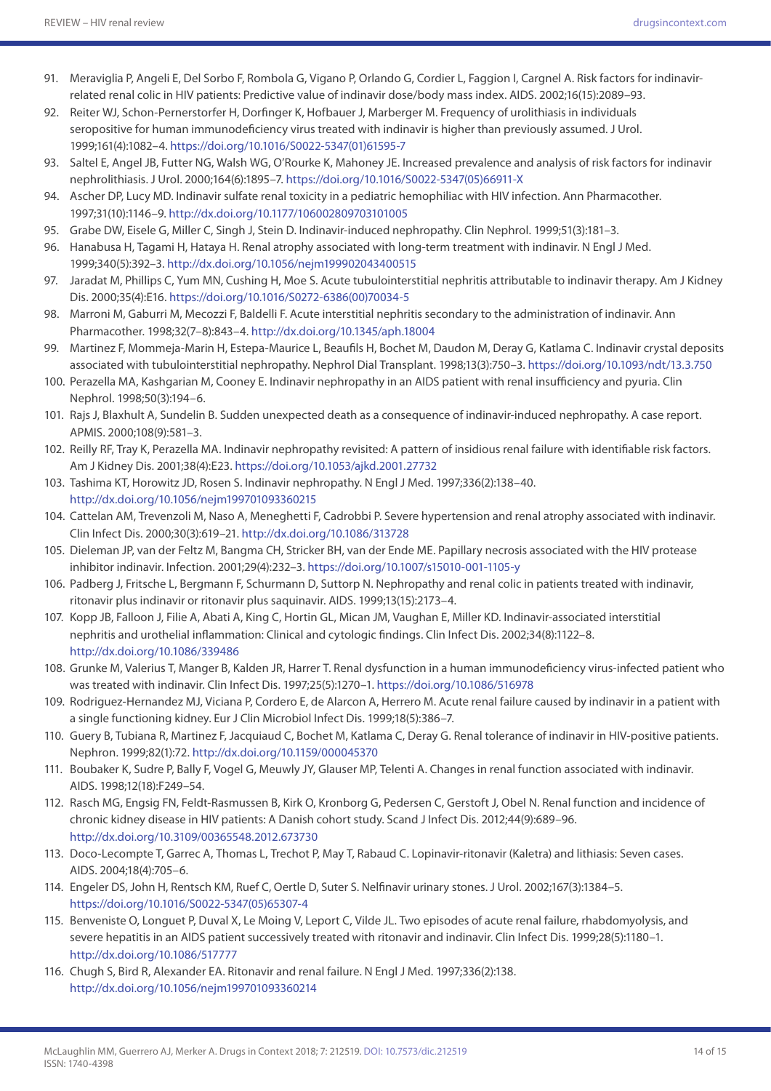- 91. Meraviglia P, Angeli E, Del Sorbo F, Rombola G, Vigano P, Orlando G, Cordier L, Faggion I, Cargnel A. Risk factors for indinavirrelated renal colic in HIV patients: Predictive value of indinavir dose/body mass index. AIDS. 2002;16(15):2089–93.
- 92. Reiter WJ, Schon-Pernerstorfer H, Dorfinger K, Hofbauer J, Marberger M. Frequency of urolithiasis in individuals seropositive for human immunodeficiency virus treated with indinavir is higher than previously assumed. J Urol. 1999;161(4):1082–4. [https://doi.org/10.1016/S0022-5347\(01\)61595-7](https://doi.org/10.1016/S0022-5347(01)61595-7)
- 93. Saltel E, Angel JB, Futter NG, Walsh WG, O'Rourke K, Mahoney JE. Increased prevalence and analysis of risk factors for indinavir nephrolithiasis. J Urol. 2000;164(6):1895–7. [https://doi.org/10.1016/S0022-5347\(05\)66911-X](https://doi.org/10.1016/S0022-5347(05)66911-X)
- 94. Ascher DP, Lucy MD. Indinavir sulfate renal toxicity in a pediatric hemophiliac with HIV infection. Ann Pharmacother. 1997;31(10):1146–9.<http://dx.doi.org/10.1177/106002809703101005>
- 95. Grabe DW, Eisele G, Miller C, Singh J, Stein D. Indinavir-induced nephropathy. Clin Nephrol. 1999;51(3):181–3.
- 96. Hanabusa H, Tagami H, Hataya H. Renal atrophy associated with long-term treatment with indinavir. N Engl J Med. 1999;340(5):392–3.<http://dx.doi.org/10.1056/nejm199902043400515>
- 97. Jaradat M, Phillips C, Yum MN, Cushing H, Moe S. Acute tubulointerstitial nephritis attributable to indinavir therapy. Am J Kidney Dis. 2000;35(4):E16. [https://doi.org/10.1016/S0272-6386\(00\)70034-5](https://doi.org/10.1016/S0272-6386(00)70034-5)
- 98. Marroni M, Gaburri M, Mecozzi F, Baldelli F. Acute interstitial nephritis secondary to the administration of indinavir. Ann Pharmacother. 1998;32(7–8):843–4.<http://dx.doi.org/10.1345/aph.18004>
- 99. Martinez F, Mommeja-Marin H, Estepa-Maurice L, Beaufils H, Bochet M, Daudon M, Deray G, Katlama C. Indinavir crystal deposits associated with tubulointerstitial nephropathy. Nephrol Dial Transplant. 1998;13(3):750–3. https://doi.org/10.1093/ndt/13.3.750
- 100. Perazella MA, Kashgarian M, Cooney E. Indinavir nephropathy in an AIDS patient with renal insufficiency and pyuria. Clin Nephrol. 1998;50(3):194–6.
- 101. Rajs J, Blaxhult A, Sundelin B. Sudden unexpected death as a consequence of indinavir-induced nephropathy. A case report. APMIS. 2000;108(9):581–3.
- 102. Reilly RF, Tray K, Perazella MA. Indinavir nephropathy revisited: A pattern of insidious renal failure with identifiable risk factors. Am J Kidney Dis. 2001;38(4):E23. https://doi.org/10.1053/ajkd.2001.27732
- 103. Tashima KT, Horowitz JD, Rosen S. Indinavir nephropathy. N Engl J Med. 1997;336(2):138–40. <http://dx.doi.org/10.1056/nejm199701093360215>
- 104. Cattelan AM, Trevenzoli M, Naso A, Meneghetti F, Cadrobbi P. Severe hypertension and renal atrophy associated with indinavir. Clin Infect Dis. 2000;30(3):619–21. <http://dx.doi.org/10.1086/313728>
- 105. Dieleman JP, van der Feltz M, Bangma CH, Stricker BH, van der Ende ME. Papillary necrosis associated with the HIV protease inhibitor indinavir. Infection. 2001;29(4):232–3. https://doi.org/10.1007/s15010-001-1105-y
- 106. Padberg J, Fritsche L, Bergmann F, Schurmann D, Suttorp N. Nephropathy and renal colic in patients treated with indinavir, ritonavir plus indinavir or ritonavir plus saquinavir. AIDS. 1999;13(15):2173–4.
- 107. Kopp JB, Falloon J, Filie A, Abati A, King C, Hortin GL, Mican JM, Vaughan E, Miller KD. Indinavir-associated interstitial nephritis and urothelial inflammation: Clinical and cytologic findings. Clin Infect Dis. 2002;34(8):1122–8. <http://dx.doi.org/10.1086/339486>
- 108. Grunke M, Valerius T, Manger B, Kalden JR, Harrer T. Renal dysfunction in a human immunodeficiency virus-infected patient who was treated with indinavir. Clin Infect Dis. 1997;25(5):1270–1. https://doi.org/10.1086/516978
- 109. Rodriguez-Hernandez MJ, Viciana P, Cordero E, de Alarcon A, Herrero M. Acute renal failure caused by indinavir in a patient with a single functioning kidney. Eur J Clin Microbiol Infect Dis. 1999;18(5):386–7.
- 110. Guery B, Tubiana R, Martinez F, Jacquiaud C, Bochet M, Katlama C, Deray G. Renal tolerance of indinavir in HIV-positive patients. Nephron. 1999;82(1):72. <http://dx.doi.org/10.1159/000045370>
- 111. Boubaker K, Sudre P, Bally F, Vogel G, Meuwly JY, Glauser MP, Telenti A. Changes in renal function associated with indinavir. AIDS. 1998;12(18):F249–54.
- 112. Rasch MG, Engsig FN, Feldt-Rasmussen B, Kirk O, Kronborg G, Pedersen C, Gerstoft J, Obel N. Renal function and incidence of chronic kidney disease in HIV patients: A Danish cohort study. Scand J Infect Dis. 2012;44(9):689–96. <http://dx.doi.org/10.3109/00365548.2012.673730>
- 113. Doco-Lecompte T, Garrec A, Thomas L, Trechot P, May T, Rabaud C. Lopinavir-ritonavir (Kaletra) and lithiasis: Seven cases. AIDS. 2004;18(4):705–6.
- 114. Engeler DS, John H, Rentsch KM, Ruef C, Oertle D, Suter S. Nelfinavir urinary stones. J Urol. 2002;167(3):1384–5. [https://doi.org/10.1016/S0022-5347\(05\)65307-4](https://doi.org/10.1016/S0022-5347(05)65307-4)
- 115. Benveniste O, Longuet P, Duval X, Le Moing V, Leport C, Vilde JL. Two episodes of acute renal failure, rhabdomyolysis, and severe hepatitis in an AIDS patient successively treated with ritonavir and indinavir. Clin Infect Dis. 1999;28(5):1180–1. <http://dx.doi.org/10.1086/517777>
- 116. Chugh S, Bird R, Alexander EA. Ritonavir and renal failure. N Engl J Med. 1997;336(2):138. <http://dx.doi.org/10.1056/nejm199701093360214>